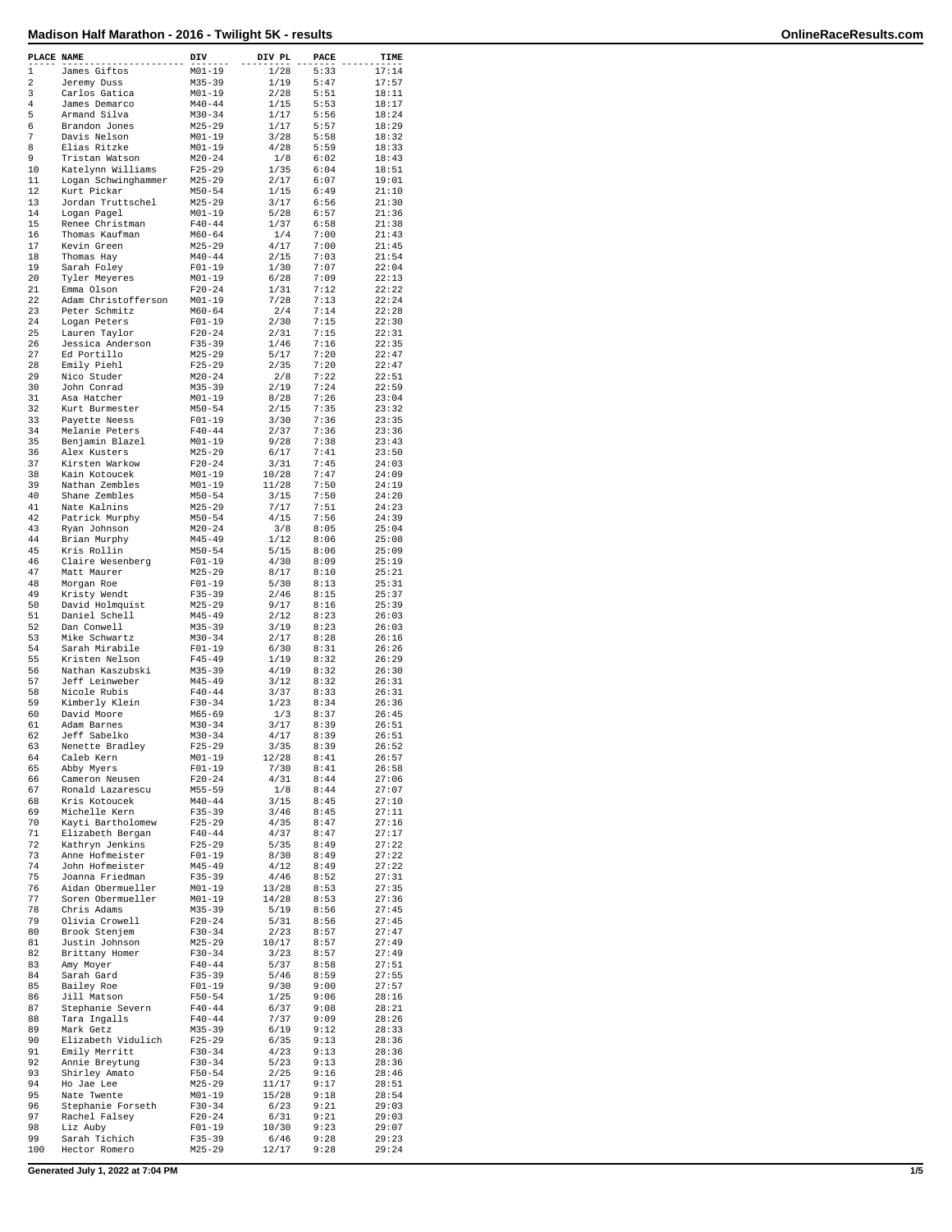| $\mathbf{1}$<br>1/28<br>5:33<br>17:14<br>$M01 - 19$<br>James Giftos<br>2<br>$M35 - 39$<br>1/19<br>5:47<br>17:57<br>Jeremy Duss<br>$M01 - 19$<br>3<br>Carlos Gatica<br>2/28<br>5:51<br>18:11<br>4<br>James Demarco<br>$M40 - 44$<br>1/15<br>5:53<br>18:17<br>5<br>Armand Silva<br>$M30 - 34$<br>1/17<br>5:56<br>18:24<br>6<br>$M25 - 29$<br>1/17<br>5:57<br>Brandon Jones<br>18:29<br>7<br>Davis Nelson<br>$M01 - 19$<br>3/28<br>5:58<br>18:32<br>8<br>Elias Ritzke<br>$M01 - 19$<br>4/28<br>5:59<br>18:33<br>9<br>Tristan Watson<br>$M20 - 24$<br>1/8<br>6:02<br>18:43<br>10<br>Katelynn Williams<br>$F25 - 29$<br>1/35<br>6:04<br>18:51<br>11<br>Logan Schwinghammer<br>$M25 - 29$<br>2/17<br>6:07<br>19:01<br>12<br>1/15<br>6:49<br>21:10<br>Kurt Pickar<br>$M50 - 54$<br>13<br>Jordan Truttschel<br>$M25 - 29$<br>3/17<br>6:56<br>21:30<br>14<br>Logan Pagel<br>$M01 - 19$<br>5/28<br>6:57<br>21:36<br>15<br>1/37<br>Renee Christman<br>$F40 - 44$<br>6:58<br>21:38<br>16<br>Thomas Kaufman<br>$M60 - 64$<br>1/4<br>7:00<br>21:43<br>17<br>Kevin Green<br>$M25 - 29$<br>4/17<br>7:00<br>21:45<br>18<br>2/15<br>7:03<br>Thomas Hay<br>$M40 - 44$<br>21:54<br>19<br>Sarah Foley<br>$F01 - 19$<br>1/30<br>7:07<br>22:04<br>20<br>Tyler Meyeres<br>$M01 - 19$<br>6/28<br>7:09<br>22:13<br>21<br>$F20 - 24$<br>1/31<br>7:12<br>22:22<br>Emma Olson<br>22<br>Adam Christofferson<br>$M01 - 19$<br>7/28<br>7:13<br>22:24<br>23<br>Peter Schmitz<br>$M60 - 64$<br>2/4<br>7:14<br>22:28<br>24<br>2/30<br>$F01 - 19$<br>7:15<br>22:30<br>Logan Peters<br>25<br>Lauren Taylor<br>$F20 - 24$<br>2/31<br>7:15<br>22:31<br>26<br>Jessica Anderson<br>$F35 - 39$<br>1/46<br>7:16<br>22:35<br>27<br>$M25 - 29$<br>5/17<br>7:20<br>22:47<br>Ed Portillo<br>28<br>Emily Piehl<br>$F25 - 29$<br>2/35<br>7:20<br>22:47<br>29<br>Nico Studer<br>$M20 - 24$<br>2/8<br>7:22<br>22:51<br>30<br>$M35 - 39$<br>2/19<br>7:24<br>John Conrad<br>22:59<br>31<br>Asa Hatcher<br>$M01 - 19$<br>8/28<br>7:26<br>23:04<br>32<br>Kurt Burmester<br>$M50 - 54$<br>2/15<br>7:35<br>23:32<br>33<br>$F01 - 19$<br>3/30<br>7:36<br>Payette Neess<br>23:35<br>34<br>Melanie Peters<br>$F40 - 44$<br>2/37<br>7:36<br>23:36<br>35<br>Benjamin Blazel<br>$M01 - 19$<br>9/28<br>7:38<br>23:43<br>36<br>$M25 - 29$<br>6/17<br>7:41<br>Alex Kusters<br>23:50<br>37<br>Kirsten Warkow<br>$F20-24$<br>3/31<br>7:45<br>24:03<br>38<br>Kain Kotoucek<br>$M01 - 19$<br>10/28<br>7:47<br>24:09<br>39<br>Nathan Zembles<br>$M01 - 19$<br>11/28<br>7:50<br>24:19<br>40<br>Shane Zembles<br>$M50 - 54$<br>3/15<br>7:50<br>24:20<br>41<br>Nate Kalnins<br>$M25 - 29$<br>7/17<br>7:51<br>24:23<br>42<br>4/15<br>7:56<br>24:39<br>Patrick Murphy<br>$M50 - 54$<br>43<br>Ryan Johnson<br>$M20 - 24$<br>3/8<br>8:05<br>25:04<br>44<br>Brian Murphy<br>$M45 - 49$<br>1/12<br>8:06<br>25:08<br>45<br>$M50 - 54$<br>5/15<br>Kris Rollin<br>8:06<br>25:09<br>46<br>Claire Wesenberg<br>$F01 - 19$<br>4/30<br>8:09<br>25:19<br>47<br>$M25 - 29$<br>8/17<br>8:10<br>25:21<br>Matt Maurer<br>48<br>$F01 - 19$<br>5/30<br>25:31<br>Morgan Roe<br>8:13<br>49<br>Kristy Wendt<br>$F35 - 39$<br>2/46<br>8:15<br>25:37<br>50<br>$M25 - 29$<br>9/17<br>8:16<br>25:39<br>David Holmquist<br>51<br>Daniel Schell<br>$M45 - 49$<br>2/12<br>8:23<br>26:03<br>52<br>Dan Conwell<br>$M35 - 39$<br>3/19<br>8:23<br>26:03<br>53<br>Mike Schwartz<br>$M30 - 34$<br>2/17<br>8:28<br>26:16<br>54<br>6/30<br>Sarah Mirabile<br>$F01 - 19$<br>8:31<br>26:26<br>55<br>Kristen Nelson<br>$F45 - 49$<br>1/19<br>8:32<br>26:29<br>56<br>Nathan Kaszubski<br>$M35 - 39$<br>4/19<br>8:32<br>26:30<br>57<br>Jeff Leinweber<br>$M45 - 49$<br>3/12<br>8:32<br>26:31<br>58<br>Nicole Rubis<br>$F40 - 44$<br>3/37<br>8:33<br>26:31<br>59<br>Kimberly Klein<br>$F30-34$<br>1/23<br>8:34<br>26:36<br>60<br>David Moore<br>1/3<br>8:37<br>$M65 - 69$<br>26:45<br>61<br>Adam Barnes<br>$M30 - 34$<br>3/17<br>8:39<br>26:51<br>62<br>Jeff Sabelko<br>$M30 - 34$<br>4/17<br>8:39<br>26:51<br>63<br>Nenette Bradley<br>3/35<br>8:39<br>26:52<br>$F25 - 29$<br>64<br>12/28<br>8:41<br>26:57<br>Caleb Kern<br>$M01 - 19$<br>65<br>$F01-19$<br>7/30<br>8:41<br>26:58<br>Abby Myers<br>66<br>4/31<br>Cameron Neusen<br>$F20 - 24$<br>8:44<br>27:06<br>67<br>Ronald Lazarescu<br>$M55 - 59$<br>1/8<br>8:44<br>27:07<br>68<br>$M40 - 44$<br>3/15<br>Kris Kotoucek<br>8:45<br>27:10<br>69<br>Michelle Kern<br>$F35 - 39$<br>3/46<br>8:45<br>27:11<br>70<br>Kayti Bartholomew<br>$F25 - 29$<br>4/35<br>8:47<br>27:16<br>71<br>Elizabeth Bergan<br>$F40 - 44$<br>4/37<br>8:47<br>27:17<br>72<br>Kathryn Jenkins<br>$F25 - 29$<br>5/35<br>8:49<br>27:22<br>73<br>Anne Hofmeister<br>$F01 - 19$<br>8/30<br>8:49<br>27:22<br>74<br>John Hofmeister<br>$M45 - 49$<br>4/12<br>8:49<br>27:22<br>75<br>Joanna Friedman<br>$F35 - 39$<br>4/46<br>8:52<br>27:31<br>76<br>Aidan Obermueller<br>$M01 - 19$<br>13/28<br>8:53<br>27:35<br>77<br>Soren Obermueller<br>$M01 - 19$<br>14/28<br>8:53<br>27:36<br>78<br>Chris Adams<br>5/19<br>M35-39<br>8:56<br>27:45<br>79<br>Olivia Crowell<br>$F20 - 24$<br>5/31<br>8:56<br>27:45<br>80<br>Brook Stenjem<br>$F30-34$<br>2/23<br>27:47<br>8:57<br>$M25 - 29$<br>10/17<br>81<br>Justin Johnson<br>8:57<br>27:49<br>82<br>Brittany Homer<br>$F30 - 34$<br>3/23<br>8:57<br>27:49<br>83<br>$F40 - 44$<br>5/37<br>8:58<br>27:51<br>Amy Moyer<br>84<br>5/46<br>Sarah Gard<br>$F35 - 39$<br>8:59<br>27:55<br>85<br>$F01 - 19$<br>9/30<br>9:00<br>27:57<br>Bailey Roe<br>86<br>Jill Matson<br>$F50 - 54$<br>9:06<br>1/25<br>28:16<br>87<br>Stephanie Severn<br>$F40 - 44$<br>6/37<br>9:08<br>28:21<br>88<br>Tara Ingalls<br>$F40 - 44$<br>7/37<br>9:09<br>28:26<br>89<br>Mark Getz<br>$M35 - 39$<br>6/19<br>9:12<br>28:33<br>90<br>Elizabeth Vidulich<br>$F25 - 29$<br>6/35<br>9:13<br>28:36<br>91<br>Emily Merritt<br>$F30 - 34$<br>4/23<br>9:13<br>28:36<br>92<br>$F30 - 34$<br>5/23<br>Annie Breytung<br>9:13<br>28:36<br>93<br>Shirley Amato<br>$F50 - 54$<br>2/25<br>9:16<br>28:46<br>94<br>Ho Jae Lee<br>$M25 - 29$<br>11/17<br>9:17<br>28:51<br>95<br>$M01 - 19$<br>15/28<br>Nate Twente<br>9:18<br>28:54<br>96<br>Stephanie Forseth<br>$F30-34$<br>6/23<br>9:21<br>29:03<br>97<br>Rachel Falsey<br>$F20 - 24$<br>6/31<br>9:21<br>29:03<br>98<br>10/30<br>Liz Auby<br>$F01-19$<br>9:23<br>29:07<br>99<br>Sarah Tichich<br>$F35 - 39$<br>6/46<br>9:28<br>29:23<br>100<br>Hector Romero<br>$M25 - 29$<br>12/17<br>9:28<br>29:24 | PLACE NAME | <b>DIV</b> | DIV PL | PACE | TIME |
|-------------------------------------------------------------------------------------------------------------------------------------------------------------------------------------------------------------------------------------------------------------------------------------------------------------------------------------------------------------------------------------------------------------------------------------------------------------------------------------------------------------------------------------------------------------------------------------------------------------------------------------------------------------------------------------------------------------------------------------------------------------------------------------------------------------------------------------------------------------------------------------------------------------------------------------------------------------------------------------------------------------------------------------------------------------------------------------------------------------------------------------------------------------------------------------------------------------------------------------------------------------------------------------------------------------------------------------------------------------------------------------------------------------------------------------------------------------------------------------------------------------------------------------------------------------------------------------------------------------------------------------------------------------------------------------------------------------------------------------------------------------------------------------------------------------------------------------------------------------------------------------------------------------------------------------------------------------------------------------------------------------------------------------------------------------------------------------------------------------------------------------------------------------------------------------------------------------------------------------------------------------------------------------------------------------------------------------------------------------------------------------------------------------------------------------------------------------------------------------------------------------------------------------------------------------------------------------------------------------------------------------------------------------------------------------------------------------------------------------------------------------------------------------------------------------------------------------------------------------------------------------------------------------------------------------------------------------------------------------------------------------------------------------------------------------------------------------------------------------------------------------------------------------------------------------------------------------------------------------------------------------------------------------------------------------------------------------------------------------------------------------------------------------------------------------------------------------------------------------------------------------------------------------------------------------------------------------------------------------------------------------------------------------------------------------------------------------------------------------------------------------------------------------------------------------------------------------------------------------------------------------------------------------------------------------------------------------------------------------------------------------------------------------------------------------------------------------------------------------------------------------------------------------------------------------------------------------------------------------------------------------------------------------------------------------------------------------------------------------------------------------------------------------------------------------------------------------------------------------------------------------------------------------------------------------------------------------------------------------------------------------------------------------------------------------------------------------------------------------------------------------------------------------------------------------------------------------------------------------------------------------------------------------------------------------------------------------------------------------------------------------------------------------------------------------------------------------------------------------------------------------------------------------------------------------------------------------------------------------------------------------------------------------------------------------------------------------------------------------------------------------------------------------------------------------------------------------------------------------------------------------------------------------------------------------------------------------------------------------------------------------------------------------------------------------------------------------------------------------------------------------------------------------------------------------------------------------------------------------------------------------------------------------------------------------------------------------------------------------------------------------------------------------------------------------------------------------------------------------------------------------------------------------------------------------------------------------------------------------------------------------------------------------------------------------------------------------------------------------------------------------------------------------------------------------------------|------------|------------|--------|------|------|
|                                                                                                                                                                                                                                                                                                                                                                                                                                                                                                                                                                                                                                                                                                                                                                                                                                                                                                                                                                                                                                                                                                                                                                                                                                                                                                                                                                                                                                                                                                                                                                                                                                                                                                                                                                                                                                                                                                                                                                                                                                                                                                                                                                                                                                                                                                                                                                                                                                                                                                                                                                                                                                                                                                                                                                                                                                                                                                                                                                                                                                                                                                                                                                                                                                                                                                                                                                                                                                                                                                                                                                                                                                                                                                                                                                                                                                                                                                                                                                                                                                                                                                                                                                                                                                                                                                                                                                                                                                                                                                                                                                                                                                                                                                                                                                                                                                                                                                                                                                                                                                                                                                                                                                                                                                                                                                                                                                                                                                                                                                                                                                                                                                                                                                                                                                                                                                                                                                                                                                                                                                                                                                                                                                                                                                                                                                                                                                                                                                                 |            |            |        |      |      |
|                                                                                                                                                                                                                                                                                                                                                                                                                                                                                                                                                                                                                                                                                                                                                                                                                                                                                                                                                                                                                                                                                                                                                                                                                                                                                                                                                                                                                                                                                                                                                                                                                                                                                                                                                                                                                                                                                                                                                                                                                                                                                                                                                                                                                                                                                                                                                                                                                                                                                                                                                                                                                                                                                                                                                                                                                                                                                                                                                                                                                                                                                                                                                                                                                                                                                                                                                                                                                                                                                                                                                                                                                                                                                                                                                                                                                                                                                                                                                                                                                                                                                                                                                                                                                                                                                                                                                                                                                                                                                                                                                                                                                                                                                                                                                                                                                                                                                                                                                                                                                                                                                                                                                                                                                                                                                                                                                                                                                                                                                                                                                                                                                                                                                                                                                                                                                                                                                                                                                                                                                                                                                                                                                                                                                                                                                                                                                                                                                                                 |            |            |        |      |      |
|                                                                                                                                                                                                                                                                                                                                                                                                                                                                                                                                                                                                                                                                                                                                                                                                                                                                                                                                                                                                                                                                                                                                                                                                                                                                                                                                                                                                                                                                                                                                                                                                                                                                                                                                                                                                                                                                                                                                                                                                                                                                                                                                                                                                                                                                                                                                                                                                                                                                                                                                                                                                                                                                                                                                                                                                                                                                                                                                                                                                                                                                                                                                                                                                                                                                                                                                                                                                                                                                                                                                                                                                                                                                                                                                                                                                                                                                                                                                                                                                                                                                                                                                                                                                                                                                                                                                                                                                                                                                                                                                                                                                                                                                                                                                                                                                                                                                                                                                                                                                                                                                                                                                                                                                                                                                                                                                                                                                                                                                                                                                                                                                                                                                                                                                                                                                                                                                                                                                                                                                                                                                                                                                                                                                                                                                                                                                                                                                                                                 |            |            |        |      |      |
|                                                                                                                                                                                                                                                                                                                                                                                                                                                                                                                                                                                                                                                                                                                                                                                                                                                                                                                                                                                                                                                                                                                                                                                                                                                                                                                                                                                                                                                                                                                                                                                                                                                                                                                                                                                                                                                                                                                                                                                                                                                                                                                                                                                                                                                                                                                                                                                                                                                                                                                                                                                                                                                                                                                                                                                                                                                                                                                                                                                                                                                                                                                                                                                                                                                                                                                                                                                                                                                                                                                                                                                                                                                                                                                                                                                                                                                                                                                                                                                                                                                                                                                                                                                                                                                                                                                                                                                                                                                                                                                                                                                                                                                                                                                                                                                                                                                                                                                                                                                                                                                                                                                                                                                                                                                                                                                                                                                                                                                                                                                                                                                                                                                                                                                                                                                                                                                                                                                                                                                                                                                                                                                                                                                                                                                                                                                                                                                                                                                 |            |            |        |      |      |
|                                                                                                                                                                                                                                                                                                                                                                                                                                                                                                                                                                                                                                                                                                                                                                                                                                                                                                                                                                                                                                                                                                                                                                                                                                                                                                                                                                                                                                                                                                                                                                                                                                                                                                                                                                                                                                                                                                                                                                                                                                                                                                                                                                                                                                                                                                                                                                                                                                                                                                                                                                                                                                                                                                                                                                                                                                                                                                                                                                                                                                                                                                                                                                                                                                                                                                                                                                                                                                                                                                                                                                                                                                                                                                                                                                                                                                                                                                                                                                                                                                                                                                                                                                                                                                                                                                                                                                                                                                                                                                                                                                                                                                                                                                                                                                                                                                                                                                                                                                                                                                                                                                                                                                                                                                                                                                                                                                                                                                                                                                                                                                                                                                                                                                                                                                                                                                                                                                                                                                                                                                                                                                                                                                                                                                                                                                                                                                                                                                                 |            |            |        |      |      |
|                                                                                                                                                                                                                                                                                                                                                                                                                                                                                                                                                                                                                                                                                                                                                                                                                                                                                                                                                                                                                                                                                                                                                                                                                                                                                                                                                                                                                                                                                                                                                                                                                                                                                                                                                                                                                                                                                                                                                                                                                                                                                                                                                                                                                                                                                                                                                                                                                                                                                                                                                                                                                                                                                                                                                                                                                                                                                                                                                                                                                                                                                                                                                                                                                                                                                                                                                                                                                                                                                                                                                                                                                                                                                                                                                                                                                                                                                                                                                                                                                                                                                                                                                                                                                                                                                                                                                                                                                                                                                                                                                                                                                                                                                                                                                                                                                                                                                                                                                                                                                                                                                                                                                                                                                                                                                                                                                                                                                                                                                                                                                                                                                                                                                                                                                                                                                                                                                                                                                                                                                                                                                                                                                                                                                                                                                                                                                                                                                                                 |            |            |        |      |      |
|                                                                                                                                                                                                                                                                                                                                                                                                                                                                                                                                                                                                                                                                                                                                                                                                                                                                                                                                                                                                                                                                                                                                                                                                                                                                                                                                                                                                                                                                                                                                                                                                                                                                                                                                                                                                                                                                                                                                                                                                                                                                                                                                                                                                                                                                                                                                                                                                                                                                                                                                                                                                                                                                                                                                                                                                                                                                                                                                                                                                                                                                                                                                                                                                                                                                                                                                                                                                                                                                                                                                                                                                                                                                                                                                                                                                                                                                                                                                                                                                                                                                                                                                                                                                                                                                                                                                                                                                                                                                                                                                                                                                                                                                                                                                                                                                                                                                                                                                                                                                                                                                                                                                                                                                                                                                                                                                                                                                                                                                                                                                                                                                                                                                                                                                                                                                                                                                                                                                                                                                                                                                                                                                                                                                                                                                                                                                                                                                                                                 |            |            |        |      |      |
|                                                                                                                                                                                                                                                                                                                                                                                                                                                                                                                                                                                                                                                                                                                                                                                                                                                                                                                                                                                                                                                                                                                                                                                                                                                                                                                                                                                                                                                                                                                                                                                                                                                                                                                                                                                                                                                                                                                                                                                                                                                                                                                                                                                                                                                                                                                                                                                                                                                                                                                                                                                                                                                                                                                                                                                                                                                                                                                                                                                                                                                                                                                                                                                                                                                                                                                                                                                                                                                                                                                                                                                                                                                                                                                                                                                                                                                                                                                                                                                                                                                                                                                                                                                                                                                                                                                                                                                                                                                                                                                                                                                                                                                                                                                                                                                                                                                                                                                                                                                                                                                                                                                                                                                                                                                                                                                                                                                                                                                                                                                                                                                                                                                                                                                                                                                                                                                                                                                                                                                                                                                                                                                                                                                                                                                                                                                                                                                                                                                 |            |            |        |      |      |
|                                                                                                                                                                                                                                                                                                                                                                                                                                                                                                                                                                                                                                                                                                                                                                                                                                                                                                                                                                                                                                                                                                                                                                                                                                                                                                                                                                                                                                                                                                                                                                                                                                                                                                                                                                                                                                                                                                                                                                                                                                                                                                                                                                                                                                                                                                                                                                                                                                                                                                                                                                                                                                                                                                                                                                                                                                                                                                                                                                                                                                                                                                                                                                                                                                                                                                                                                                                                                                                                                                                                                                                                                                                                                                                                                                                                                                                                                                                                                                                                                                                                                                                                                                                                                                                                                                                                                                                                                                                                                                                                                                                                                                                                                                                                                                                                                                                                                                                                                                                                                                                                                                                                                                                                                                                                                                                                                                                                                                                                                                                                                                                                                                                                                                                                                                                                                                                                                                                                                                                                                                                                                                                                                                                                                                                                                                                                                                                                                                                 |            |            |        |      |      |
|                                                                                                                                                                                                                                                                                                                                                                                                                                                                                                                                                                                                                                                                                                                                                                                                                                                                                                                                                                                                                                                                                                                                                                                                                                                                                                                                                                                                                                                                                                                                                                                                                                                                                                                                                                                                                                                                                                                                                                                                                                                                                                                                                                                                                                                                                                                                                                                                                                                                                                                                                                                                                                                                                                                                                                                                                                                                                                                                                                                                                                                                                                                                                                                                                                                                                                                                                                                                                                                                                                                                                                                                                                                                                                                                                                                                                                                                                                                                                                                                                                                                                                                                                                                                                                                                                                                                                                                                                                                                                                                                                                                                                                                                                                                                                                                                                                                                                                                                                                                                                                                                                                                                                                                                                                                                                                                                                                                                                                                                                                                                                                                                                                                                                                                                                                                                                                                                                                                                                                                                                                                                                                                                                                                                                                                                                                                                                                                                                                                 |            |            |        |      |      |
|                                                                                                                                                                                                                                                                                                                                                                                                                                                                                                                                                                                                                                                                                                                                                                                                                                                                                                                                                                                                                                                                                                                                                                                                                                                                                                                                                                                                                                                                                                                                                                                                                                                                                                                                                                                                                                                                                                                                                                                                                                                                                                                                                                                                                                                                                                                                                                                                                                                                                                                                                                                                                                                                                                                                                                                                                                                                                                                                                                                                                                                                                                                                                                                                                                                                                                                                                                                                                                                                                                                                                                                                                                                                                                                                                                                                                                                                                                                                                                                                                                                                                                                                                                                                                                                                                                                                                                                                                                                                                                                                                                                                                                                                                                                                                                                                                                                                                                                                                                                                                                                                                                                                                                                                                                                                                                                                                                                                                                                                                                                                                                                                                                                                                                                                                                                                                                                                                                                                                                                                                                                                                                                                                                                                                                                                                                                                                                                                                                                 |            |            |        |      |      |
|                                                                                                                                                                                                                                                                                                                                                                                                                                                                                                                                                                                                                                                                                                                                                                                                                                                                                                                                                                                                                                                                                                                                                                                                                                                                                                                                                                                                                                                                                                                                                                                                                                                                                                                                                                                                                                                                                                                                                                                                                                                                                                                                                                                                                                                                                                                                                                                                                                                                                                                                                                                                                                                                                                                                                                                                                                                                                                                                                                                                                                                                                                                                                                                                                                                                                                                                                                                                                                                                                                                                                                                                                                                                                                                                                                                                                                                                                                                                                                                                                                                                                                                                                                                                                                                                                                                                                                                                                                                                                                                                                                                                                                                                                                                                                                                                                                                                                                                                                                                                                                                                                                                                                                                                                                                                                                                                                                                                                                                                                                                                                                                                                                                                                                                                                                                                                                                                                                                                                                                                                                                                                                                                                                                                                                                                                                                                                                                                                                                 |            |            |        |      |      |
|                                                                                                                                                                                                                                                                                                                                                                                                                                                                                                                                                                                                                                                                                                                                                                                                                                                                                                                                                                                                                                                                                                                                                                                                                                                                                                                                                                                                                                                                                                                                                                                                                                                                                                                                                                                                                                                                                                                                                                                                                                                                                                                                                                                                                                                                                                                                                                                                                                                                                                                                                                                                                                                                                                                                                                                                                                                                                                                                                                                                                                                                                                                                                                                                                                                                                                                                                                                                                                                                                                                                                                                                                                                                                                                                                                                                                                                                                                                                                                                                                                                                                                                                                                                                                                                                                                                                                                                                                                                                                                                                                                                                                                                                                                                                                                                                                                                                                                                                                                                                                                                                                                                                                                                                                                                                                                                                                                                                                                                                                                                                                                                                                                                                                                                                                                                                                                                                                                                                                                                                                                                                                                                                                                                                                                                                                                                                                                                                                                                 |            |            |        |      |      |
|                                                                                                                                                                                                                                                                                                                                                                                                                                                                                                                                                                                                                                                                                                                                                                                                                                                                                                                                                                                                                                                                                                                                                                                                                                                                                                                                                                                                                                                                                                                                                                                                                                                                                                                                                                                                                                                                                                                                                                                                                                                                                                                                                                                                                                                                                                                                                                                                                                                                                                                                                                                                                                                                                                                                                                                                                                                                                                                                                                                                                                                                                                                                                                                                                                                                                                                                                                                                                                                                                                                                                                                                                                                                                                                                                                                                                                                                                                                                                                                                                                                                                                                                                                                                                                                                                                                                                                                                                                                                                                                                                                                                                                                                                                                                                                                                                                                                                                                                                                                                                                                                                                                                                                                                                                                                                                                                                                                                                                                                                                                                                                                                                                                                                                                                                                                                                                                                                                                                                                                                                                                                                                                                                                                                                                                                                                                                                                                                                                                 |            |            |        |      |      |
|                                                                                                                                                                                                                                                                                                                                                                                                                                                                                                                                                                                                                                                                                                                                                                                                                                                                                                                                                                                                                                                                                                                                                                                                                                                                                                                                                                                                                                                                                                                                                                                                                                                                                                                                                                                                                                                                                                                                                                                                                                                                                                                                                                                                                                                                                                                                                                                                                                                                                                                                                                                                                                                                                                                                                                                                                                                                                                                                                                                                                                                                                                                                                                                                                                                                                                                                                                                                                                                                                                                                                                                                                                                                                                                                                                                                                                                                                                                                                                                                                                                                                                                                                                                                                                                                                                                                                                                                                                                                                                                                                                                                                                                                                                                                                                                                                                                                                                                                                                                                                                                                                                                                                                                                                                                                                                                                                                                                                                                                                                                                                                                                                                                                                                                                                                                                                                                                                                                                                                                                                                                                                                                                                                                                                                                                                                                                                                                                                                                 |            |            |        |      |      |
|                                                                                                                                                                                                                                                                                                                                                                                                                                                                                                                                                                                                                                                                                                                                                                                                                                                                                                                                                                                                                                                                                                                                                                                                                                                                                                                                                                                                                                                                                                                                                                                                                                                                                                                                                                                                                                                                                                                                                                                                                                                                                                                                                                                                                                                                                                                                                                                                                                                                                                                                                                                                                                                                                                                                                                                                                                                                                                                                                                                                                                                                                                                                                                                                                                                                                                                                                                                                                                                                                                                                                                                                                                                                                                                                                                                                                                                                                                                                                                                                                                                                                                                                                                                                                                                                                                                                                                                                                                                                                                                                                                                                                                                                                                                                                                                                                                                                                                                                                                                                                                                                                                                                                                                                                                                                                                                                                                                                                                                                                                                                                                                                                                                                                                                                                                                                                                                                                                                                                                                                                                                                                                                                                                                                                                                                                                                                                                                                                                                 |            |            |        |      |      |
|                                                                                                                                                                                                                                                                                                                                                                                                                                                                                                                                                                                                                                                                                                                                                                                                                                                                                                                                                                                                                                                                                                                                                                                                                                                                                                                                                                                                                                                                                                                                                                                                                                                                                                                                                                                                                                                                                                                                                                                                                                                                                                                                                                                                                                                                                                                                                                                                                                                                                                                                                                                                                                                                                                                                                                                                                                                                                                                                                                                                                                                                                                                                                                                                                                                                                                                                                                                                                                                                                                                                                                                                                                                                                                                                                                                                                                                                                                                                                                                                                                                                                                                                                                                                                                                                                                                                                                                                                                                                                                                                                                                                                                                                                                                                                                                                                                                                                                                                                                                                                                                                                                                                                                                                                                                                                                                                                                                                                                                                                                                                                                                                                                                                                                                                                                                                                                                                                                                                                                                                                                                                                                                                                                                                                                                                                                                                                                                                                                                 |            |            |        |      |      |
|                                                                                                                                                                                                                                                                                                                                                                                                                                                                                                                                                                                                                                                                                                                                                                                                                                                                                                                                                                                                                                                                                                                                                                                                                                                                                                                                                                                                                                                                                                                                                                                                                                                                                                                                                                                                                                                                                                                                                                                                                                                                                                                                                                                                                                                                                                                                                                                                                                                                                                                                                                                                                                                                                                                                                                                                                                                                                                                                                                                                                                                                                                                                                                                                                                                                                                                                                                                                                                                                                                                                                                                                                                                                                                                                                                                                                                                                                                                                                                                                                                                                                                                                                                                                                                                                                                                                                                                                                                                                                                                                                                                                                                                                                                                                                                                                                                                                                                                                                                                                                                                                                                                                                                                                                                                                                                                                                                                                                                                                                                                                                                                                                                                                                                                                                                                                                                                                                                                                                                                                                                                                                                                                                                                                                                                                                                                                                                                                                                                 |            |            |        |      |      |
|                                                                                                                                                                                                                                                                                                                                                                                                                                                                                                                                                                                                                                                                                                                                                                                                                                                                                                                                                                                                                                                                                                                                                                                                                                                                                                                                                                                                                                                                                                                                                                                                                                                                                                                                                                                                                                                                                                                                                                                                                                                                                                                                                                                                                                                                                                                                                                                                                                                                                                                                                                                                                                                                                                                                                                                                                                                                                                                                                                                                                                                                                                                                                                                                                                                                                                                                                                                                                                                                                                                                                                                                                                                                                                                                                                                                                                                                                                                                                                                                                                                                                                                                                                                                                                                                                                                                                                                                                                                                                                                                                                                                                                                                                                                                                                                                                                                                                                                                                                                                                                                                                                                                                                                                                                                                                                                                                                                                                                                                                                                                                                                                                                                                                                                                                                                                                                                                                                                                                                                                                                                                                                                                                                                                                                                                                                                                                                                                                                                 |            |            |        |      |      |
|                                                                                                                                                                                                                                                                                                                                                                                                                                                                                                                                                                                                                                                                                                                                                                                                                                                                                                                                                                                                                                                                                                                                                                                                                                                                                                                                                                                                                                                                                                                                                                                                                                                                                                                                                                                                                                                                                                                                                                                                                                                                                                                                                                                                                                                                                                                                                                                                                                                                                                                                                                                                                                                                                                                                                                                                                                                                                                                                                                                                                                                                                                                                                                                                                                                                                                                                                                                                                                                                                                                                                                                                                                                                                                                                                                                                                                                                                                                                                                                                                                                                                                                                                                                                                                                                                                                                                                                                                                                                                                                                                                                                                                                                                                                                                                                                                                                                                                                                                                                                                                                                                                                                                                                                                                                                                                                                                                                                                                                                                                                                                                                                                                                                                                                                                                                                                                                                                                                                                                                                                                                                                                                                                                                                                                                                                                                                                                                                                                                 |            |            |        |      |      |
|                                                                                                                                                                                                                                                                                                                                                                                                                                                                                                                                                                                                                                                                                                                                                                                                                                                                                                                                                                                                                                                                                                                                                                                                                                                                                                                                                                                                                                                                                                                                                                                                                                                                                                                                                                                                                                                                                                                                                                                                                                                                                                                                                                                                                                                                                                                                                                                                                                                                                                                                                                                                                                                                                                                                                                                                                                                                                                                                                                                                                                                                                                                                                                                                                                                                                                                                                                                                                                                                                                                                                                                                                                                                                                                                                                                                                                                                                                                                                                                                                                                                                                                                                                                                                                                                                                                                                                                                                                                                                                                                                                                                                                                                                                                                                                                                                                                                                                                                                                                                                                                                                                                                                                                                                                                                                                                                                                                                                                                                                                                                                                                                                                                                                                                                                                                                                                                                                                                                                                                                                                                                                                                                                                                                                                                                                                                                                                                                                                                 |            |            |        |      |      |
|                                                                                                                                                                                                                                                                                                                                                                                                                                                                                                                                                                                                                                                                                                                                                                                                                                                                                                                                                                                                                                                                                                                                                                                                                                                                                                                                                                                                                                                                                                                                                                                                                                                                                                                                                                                                                                                                                                                                                                                                                                                                                                                                                                                                                                                                                                                                                                                                                                                                                                                                                                                                                                                                                                                                                                                                                                                                                                                                                                                                                                                                                                                                                                                                                                                                                                                                                                                                                                                                                                                                                                                                                                                                                                                                                                                                                                                                                                                                                                                                                                                                                                                                                                                                                                                                                                                                                                                                                                                                                                                                                                                                                                                                                                                                                                                                                                                                                                                                                                                                                                                                                                                                                                                                                                                                                                                                                                                                                                                                                                                                                                                                                                                                                                                                                                                                                                                                                                                                                                                                                                                                                                                                                                                                                                                                                                                                                                                                                                                 |            |            |        |      |      |
|                                                                                                                                                                                                                                                                                                                                                                                                                                                                                                                                                                                                                                                                                                                                                                                                                                                                                                                                                                                                                                                                                                                                                                                                                                                                                                                                                                                                                                                                                                                                                                                                                                                                                                                                                                                                                                                                                                                                                                                                                                                                                                                                                                                                                                                                                                                                                                                                                                                                                                                                                                                                                                                                                                                                                                                                                                                                                                                                                                                                                                                                                                                                                                                                                                                                                                                                                                                                                                                                                                                                                                                                                                                                                                                                                                                                                                                                                                                                                                                                                                                                                                                                                                                                                                                                                                                                                                                                                                                                                                                                                                                                                                                                                                                                                                                                                                                                                                                                                                                                                                                                                                                                                                                                                                                                                                                                                                                                                                                                                                                                                                                                                                                                                                                                                                                                                                                                                                                                                                                                                                                                                                                                                                                                                                                                                                                                                                                                                                                 |            |            |        |      |      |
|                                                                                                                                                                                                                                                                                                                                                                                                                                                                                                                                                                                                                                                                                                                                                                                                                                                                                                                                                                                                                                                                                                                                                                                                                                                                                                                                                                                                                                                                                                                                                                                                                                                                                                                                                                                                                                                                                                                                                                                                                                                                                                                                                                                                                                                                                                                                                                                                                                                                                                                                                                                                                                                                                                                                                                                                                                                                                                                                                                                                                                                                                                                                                                                                                                                                                                                                                                                                                                                                                                                                                                                                                                                                                                                                                                                                                                                                                                                                                                                                                                                                                                                                                                                                                                                                                                                                                                                                                                                                                                                                                                                                                                                                                                                                                                                                                                                                                                                                                                                                                                                                                                                                                                                                                                                                                                                                                                                                                                                                                                                                                                                                                                                                                                                                                                                                                                                                                                                                                                                                                                                                                                                                                                                                                                                                                                                                                                                                                                                 |            |            |        |      |      |
|                                                                                                                                                                                                                                                                                                                                                                                                                                                                                                                                                                                                                                                                                                                                                                                                                                                                                                                                                                                                                                                                                                                                                                                                                                                                                                                                                                                                                                                                                                                                                                                                                                                                                                                                                                                                                                                                                                                                                                                                                                                                                                                                                                                                                                                                                                                                                                                                                                                                                                                                                                                                                                                                                                                                                                                                                                                                                                                                                                                                                                                                                                                                                                                                                                                                                                                                                                                                                                                                                                                                                                                                                                                                                                                                                                                                                                                                                                                                                                                                                                                                                                                                                                                                                                                                                                                                                                                                                                                                                                                                                                                                                                                                                                                                                                                                                                                                                                                                                                                                                                                                                                                                                                                                                                                                                                                                                                                                                                                                                                                                                                                                                                                                                                                                                                                                                                                                                                                                                                                                                                                                                                                                                                                                                                                                                                                                                                                                                                                 |            |            |        |      |      |
|                                                                                                                                                                                                                                                                                                                                                                                                                                                                                                                                                                                                                                                                                                                                                                                                                                                                                                                                                                                                                                                                                                                                                                                                                                                                                                                                                                                                                                                                                                                                                                                                                                                                                                                                                                                                                                                                                                                                                                                                                                                                                                                                                                                                                                                                                                                                                                                                                                                                                                                                                                                                                                                                                                                                                                                                                                                                                                                                                                                                                                                                                                                                                                                                                                                                                                                                                                                                                                                                                                                                                                                                                                                                                                                                                                                                                                                                                                                                                                                                                                                                                                                                                                                                                                                                                                                                                                                                                                                                                                                                                                                                                                                                                                                                                                                                                                                                                                                                                                                                                                                                                                                                                                                                                                                                                                                                                                                                                                                                                                                                                                                                                                                                                                                                                                                                                                                                                                                                                                                                                                                                                                                                                                                                                                                                                                                                                                                                                                                 |            |            |        |      |      |
|                                                                                                                                                                                                                                                                                                                                                                                                                                                                                                                                                                                                                                                                                                                                                                                                                                                                                                                                                                                                                                                                                                                                                                                                                                                                                                                                                                                                                                                                                                                                                                                                                                                                                                                                                                                                                                                                                                                                                                                                                                                                                                                                                                                                                                                                                                                                                                                                                                                                                                                                                                                                                                                                                                                                                                                                                                                                                                                                                                                                                                                                                                                                                                                                                                                                                                                                                                                                                                                                                                                                                                                                                                                                                                                                                                                                                                                                                                                                                                                                                                                                                                                                                                                                                                                                                                                                                                                                                                                                                                                                                                                                                                                                                                                                                                                                                                                                                                                                                                                                                                                                                                                                                                                                                                                                                                                                                                                                                                                                                                                                                                                                                                                                                                                                                                                                                                                                                                                                                                                                                                                                                                                                                                                                                                                                                                                                                                                                                                                 |            |            |        |      |      |
|                                                                                                                                                                                                                                                                                                                                                                                                                                                                                                                                                                                                                                                                                                                                                                                                                                                                                                                                                                                                                                                                                                                                                                                                                                                                                                                                                                                                                                                                                                                                                                                                                                                                                                                                                                                                                                                                                                                                                                                                                                                                                                                                                                                                                                                                                                                                                                                                                                                                                                                                                                                                                                                                                                                                                                                                                                                                                                                                                                                                                                                                                                                                                                                                                                                                                                                                                                                                                                                                                                                                                                                                                                                                                                                                                                                                                                                                                                                                                                                                                                                                                                                                                                                                                                                                                                                                                                                                                                                                                                                                                                                                                                                                                                                                                                                                                                                                                                                                                                                                                                                                                                                                                                                                                                                                                                                                                                                                                                                                                                                                                                                                                                                                                                                                                                                                                                                                                                                                                                                                                                                                                                                                                                                                                                                                                                                                                                                                                                                 |            |            |        |      |      |
|                                                                                                                                                                                                                                                                                                                                                                                                                                                                                                                                                                                                                                                                                                                                                                                                                                                                                                                                                                                                                                                                                                                                                                                                                                                                                                                                                                                                                                                                                                                                                                                                                                                                                                                                                                                                                                                                                                                                                                                                                                                                                                                                                                                                                                                                                                                                                                                                                                                                                                                                                                                                                                                                                                                                                                                                                                                                                                                                                                                                                                                                                                                                                                                                                                                                                                                                                                                                                                                                                                                                                                                                                                                                                                                                                                                                                                                                                                                                                                                                                                                                                                                                                                                                                                                                                                                                                                                                                                                                                                                                                                                                                                                                                                                                                                                                                                                                                                                                                                                                                                                                                                                                                                                                                                                                                                                                                                                                                                                                                                                                                                                                                                                                                                                                                                                                                                                                                                                                                                                                                                                                                                                                                                                                                                                                                                                                                                                                                                                 |            |            |        |      |      |
|                                                                                                                                                                                                                                                                                                                                                                                                                                                                                                                                                                                                                                                                                                                                                                                                                                                                                                                                                                                                                                                                                                                                                                                                                                                                                                                                                                                                                                                                                                                                                                                                                                                                                                                                                                                                                                                                                                                                                                                                                                                                                                                                                                                                                                                                                                                                                                                                                                                                                                                                                                                                                                                                                                                                                                                                                                                                                                                                                                                                                                                                                                                                                                                                                                                                                                                                                                                                                                                                                                                                                                                                                                                                                                                                                                                                                                                                                                                                                                                                                                                                                                                                                                                                                                                                                                                                                                                                                                                                                                                                                                                                                                                                                                                                                                                                                                                                                                                                                                                                                                                                                                                                                                                                                                                                                                                                                                                                                                                                                                                                                                                                                                                                                                                                                                                                                                                                                                                                                                                                                                                                                                                                                                                                                                                                                                                                                                                                                                                 |            |            |        |      |      |
|                                                                                                                                                                                                                                                                                                                                                                                                                                                                                                                                                                                                                                                                                                                                                                                                                                                                                                                                                                                                                                                                                                                                                                                                                                                                                                                                                                                                                                                                                                                                                                                                                                                                                                                                                                                                                                                                                                                                                                                                                                                                                                                                                                                                                                                                                                                                                                                                                                                                                                                                                                                                                                                                                                                                                                                                                                                                                                                                                                                                                                                                                                                                                                                                                                                                                                                                                                                                                                                                                                                                                                                                                                                                                                                                                                                                                                                                                                                                                                                                                                                                                                                                                                                                                                                                                                                                                                                                                                                                                                                                                                                                                                                                                                                                                                                                                                                                                                                                                                                                                                                                                                                                                                                                                                                                                                                                                                                                                                                                                                                                                                                                                                                                                                                                                                                                                                                                                                                                                                                                                                                                                                                                                                                                                                                                                                                                                                                                                                                 |            |            |        |      |      |
|                                                                                                                                                                                                                                                                                                                                                                                                                                                                                                                                                                                                                                                                                                                                                                                                                                                                                                                                                                                                                                                                                                                                                                                                                                                                                                                                                                                                                                                                                                                                                                                                                                                                                                                                                                                                                                                                                                                                                                                                                                                                                                                                                                                                                                                                                                                                                                                                                                                                                                                                                                                                                                                                                                                                                                                                                                                                                                                                                                                                                                                                                                                                                                                                                                                                                                                                                                                                                                                                                                                                                                                                                                                                                                                                                                                                                                                                                                                                                                                                                                                                                                                                                                                                                                                                                                                                                                                                                                                                                                                                                                                                                                                                                                                                                                                                                                                                                                                                                                                                                                                                                                                                                                                                                                                                                                                                                                                                                                                                                                                                                                                                                                                                                                                                                                                                                                                                                                                                                                                                                                                                                                                                                                                                                                                                                                                                                                                                                                                 |            |            |        |      |      |
|                                                                                                                                                                                                                                                                                                                                                                                                                                                                                                                                                                                                                                                                                                                                                                                                                                                                                                                                                                                                                                                                                                                                                                                                                                                                                                                                                                                                                                                                                                                                                                                                                                                                                                                                                                                                                                                                                                                                                                                                                                                                                                                                                                                                                                                                                                                                                                                                                                                                                                                                                                                                                                                                                                                                                                                                                                                                                                                                                                                                                                                                                                                                                                                                                                                                                                                                                                                                                                                                                                                                                                                                                                                                                                                                                                                                                                                                                                                                                                                                                                                                                                                                                                                                                                                                                                                                                                                                                                                                                                                                                                                                                                                                                                                                                                                                                                                                                                                                                                                                                                                                                                                                                                                                                                                                                                                                                                                                                                                                                                                                                                                                                                                                                                                                                                                                                                                                                                                                                                                                                                                                                                                                                                                                                                                                                                                                                                                                                                                 |            |            |        |      |      |
|                                                                                                                                                                                                                                                                                                                                                                                                                                                                                                                                                                                                                                                                                                                                                                                                                                                                                                                                                                                                                                                                                                                                                                                                                                                                                                                                                                                                                                                                                                                                                                                                                                                                                                                                                                                                                                                                                                                                                                                                                                                                                                                                                                                                                                                                                                                                                                                                                                                                                                                                                                                                                                                                                                                                                                                                                                                                                                                                                                                                                                                                                                                                                                                                                                                                                                                                                                                                                                                                                                                                                                                                                                                                                                                                                                                                                                                                                                                                                                                                                                                                                                                                                                                                                                                                                                                                                                                                                                                                                                                                                                                                                                                                                                                                                                                                                                                                                                                                                                                                                                                                                                                                                                                                                                                                                                                                                                                                                                                                                                                                                                                                                                                                                                                                                                                                                                                                                                                                                                                                                                                                                                                                                                                                                                                                                                                                                                                                                                                 |            |            |        |      |      |
|                                                                                                                                                                                                                                                                                                                                                                                                                                                                                                                                                                                                                                                                                                                                                                                                                                                                                                                                                                                                                                                                                                                                                                                                                                                                                                                                                                                                                                                                                                                                                                                                                                                                                                                                                                                                                                                                                                                                                                                                                                                                                                                                                                                                                                                                                                                                                                                                                                                                                                                                                                                                                                                                                                                                                                                                                                                                                                                                                                                                                                                                                                                                                                                                                                                                                                                                                                                                                                                                                                                                                                                                                                                                                                                                                                                                                                                                                                                                                                                                                                                                                                                                                                                                                                                                                                                                                                                                                                                                                                                                                                                                                                                                                                                                                                                                                                                                                                                                                                                                                                                                                                                                                                                                                                                                                                                                                                                                                                                                                                                                                                                                                                                                                                                                                                                                                                                                                                                                                                                                                                                                                                                                                                                                                                                                                                                                                                                                                                                 |            |            |        |      |      |
|                                                                                                                                                                                                                                                                                                                                                                                                                                                                                                                                                                                                                                                                                                                                                                                                                                                                                                                                                                                                                                                                                                                                                                                                                                                                                                                                                                                                                                                                                                                                                                                                                                                                                                                                                                                                                                                                                                                                                                                                                                                                                                                                                                                                                                                                                                                                                                                                                                                                                                                                                                                                                                                                                                                                                                                                                                                                                                                                                                                                                                                                                                                                                                                                                                                                                                                                                                                                                                                                                                                                                                                                                                                                                                                                                                                                                                                                                                                                                                                                                                                                                                                                                                                                                                                                                                                                                                                                                                                                                                                                                                                                                                                                                                                                                                                                                                                                                                                                                                                                                                                                                                                                                                                                                                                                                                                                                                                                                                                                                                                                                                                                                                                                                                                                                                                                                                                                                                                                                                                                                                                                                                                                                                                                                                                                                                                                                                                                                                                 |            |            |        |      |      |
|                                                                                                                                                                                                                                                                                                                                                                                                                                                                                                                                                                                                                                                                                                                                                                                                                                                                                                                                                                                                                                                                                                                                                                                                                                                                                                                                                                                                                                                                                                                                                                                                                                                                                                                                                                                                                                                                                                                                                                                                                                                                                                                                                                                                                                                                                                                                                                                                                                                                                                                                                                                                                                                                                                                                                                                                                                                                                                                                                                                                                                                                                                                                                                                                                                                                                                                                                                                                                                                                                                                                                                                                                                                                                                                                                                                                                                                                                                                                                                                                                                                                                                                                                                                                                                                                                                                                                                                                                                                                                                                                                                                                                                                                                                                                                                                                                                                                                                                                                                                                                                                                                                                                                                                                                                                                                                                                                                                                                                                                                                                                                                                                                                                                                                                                                                                                                                                                                                                                                                                                                                                                                                                                                                                                                                                                                                                                                                                                                                                 |            |            |        |      |      |
|                                                                                                                                                                                                                                                                                                                                                                                                                                                                                                                                                                                                                                                                                                                                                                                                                                                                                                                                                                                                                                                                                                                                                                                                                                                                                                                                                                                                                                                                                                                                                                                                                                                                                                                                                                                                                                                                                                                                                                                                                                                                                                                                                                                                                                                                                                                                                                                                                                                                                                                                                                                                                                                                                                                                                                                                                                                                                                                                                                                                                                                                                                                                                                                                                                                                                                                                                                                                                                                                                                                                                                                                                                                                                                                                                                                                                                                                                                                                                                                                                                                                                                                                                                                                                                                                                                                                                                                                                                                                                                                                                                                                                                                                                                                                                                                                                                                                                                                                                                                                                                                                                                                                                                                                                                                                                                                                                                                                                                                                                                                                                                                                                                                                                                                                                                                                                                                                                                                                                                                                                                                                                                                                                                                                                                                                                                                                                                                                                                                 |            |            |        |      |      |
|                                                                                                                                                                                                                                                                                                                                                                                                                                                                                                                                                                                                                                                                                                                                                                                                                                                                                                                                                                                                                                                                                                                                                                                                                                                                                                                                                                                                                                                                                                                                                                                                                                                                                                                                                                                                                                                                                                                                                                                                                                                                                                                                                                                                                                                                                                                                                                                                                                                                                                                                                                                                                                                                                                                                                                                                                                                                                                                                                                                                                                                                                                                                                                                                                                                                                                                                                                                                                                                                                                                                                                                                                                                                                                                                                                                                                                                                                                                                                                                                                                                                                                                                                                                                                                                                                                                                                                                                                                                                                                                                                                                                                                                                                                                                                                                                                                                                                                                                                                                                                                                                                                                                                                                                                                                                                                                                                                                                                                                                                                                                                                                                                                                                                                                                                                                                                                                                                                                                                                                                                                                                                                                                                                                                                                                                                                                                                                                                                                                 |            |            |        |      |      |
|                                                                                                                                                                                                                                                                                                                                                                                                                                                                                                                                                                                                                                                                                                                                                                                                                                                                                                                                                                                                                                                                                                                                                                                                                                                                                                                                                                                                                                                                                                                                                                                                                                                                                                                                                                                                                                                                                                                                                                                                                                                                                                                                                                                                                                                                                                                                                                                                                                                                                                                                                                                                                                                                                                                                                                                                                                                                                                                                                                                                                                                                                                                                                                                                                                                                                                                                                                                                                                                                                                                                                                                                                                                                                                                                                                                                                                                                                                                                                                                                                                                                                                                                                                                                                                                                                                                                                                                                                                                                                                                                                                                                                                                                                                                                                                                                                                                                                                                                                                                                                                                                                                                                                                                                                                                                                                                                                                                                                                                                                                                                                                                                                                                                                                                                                                                                                                                                                                                                                                                                                                                                                                                                                                                                                                                                                                                                                                                                                                                 |            |            |        |      |      |
|                                                                                                                                                                                                                                                                                                                                                                                                                                                                                                                                                                                                                                                                                                                                                                                                                                                                                                                                                                                                                                                                                                                                                                                                                                                                                                                                                                                                                                                                                                                                                                                                                                                                                                                                                                                                                                                                                                                                                                                                                                                                                                                                                                                                                                                                                                                                                                                                                                                                                                                                                                                                                                                                                                                                                                                                                                                                                                                                                                                                                                                                                                                                                                                                                                                                                                                                                                                                                                                                                                                                                                                                                                                                                                                                                                                                                                                                                                                                                                                                                                                                                                                                                                                                                                                                                                                                                                                                                                                                                                                                                                                                                                                                                                                                                                                                                                                                                                                                                                                                                                                                                                                                                                                                                                                                                                                                                                                                                                                                                                                                                                                                                                                                                                                                                                                                                                                                                                                                                                                                                                                                                                                                                                                                                                                                                                                                                                                                                                                 |            |            |        |      |      |
|                                                                                                                                                                                                                                                                                                                                                                                                                                                                                                                                                                                                                                                                                                                                                                                                                                                                                                                                                                                                                                                                                                                                                                                                                                                                                                                                                                                                                                                                                                                                                                                                                                                                                                                                                                                                                                                                                                                                                                                                                                                                                                                                                                                                                                                                                                                                                                                                                                                                                                                                                                                                                                                                                                                                                                                                                                                                                                                                                                                                                                                                                                                                                                                                                                                                                                                                                                                                                                                                                                                                                                                                                                                                                                                                                                                                                                                                                                                                                                                                                                                                                                                                                                                                                                                                                                                                                                                                                                                                                                                                                                                                                                                                                                                                                                                                                                                                                                                                                                                                                                                                                                                                                                                                                                                                                                                                                                                                                                                                                                                                                                                                                                                                                                                                                                                                                                                                                                                                                                                                                                                                                                                                                                                                                                                                                                                                                                                                                                                 |            |            |        |      |      |
|                                                                                                                                                                                                                                                                                                                                                                                                                                                                                                                                                                                                                                                                                                                                                                                                                                                                                                                                                                                                                                                                                                                                                                                                                                                                                                                                                                                                                                                                                                                                                                                                                                                                                                                                                                                                                                                                                                                                                                                                                                                                                                                                                                                                                                                                                                                                                                                                                                                                                                                                                                                                                                                                                                                                                                                                                                                                                                                                                                                                                                                                                                                                                                                                                                                                                                                                                                                                                                                                                                                                                                                                                                                                                                                                                                                                                                                                                                                                                                                                                                                                                                                                                                                                                                                                                                                                                                                                                                                                                                                                                                                                                                                                                                                                                                                                                                                                                                                                                                                                                                                                                                                                                                                                                                                                                                                                                                                                                                                                                                                                                                                                                                                                                                                                                                                                                                                                                                                                                                                                                                                                                                                                                                                                                                                                                                                                                                                                                                                 |            |            |        |      |      |
|                                                                                                                                                                                                                                                                                                                                                                                                                                                                                                                                                                                                                                                                                                                                                                                                                                                                                                                                                                                                                                                                                                                                                                                                                                                                                                                                                                                                                                                                                                                                                                                                                                                                                                                                                                                                                                                                                                                                                                                                                                                                                                                                                                                                                                                                                                                                                                                                                                                                                                                                                                                                                                                                                                                                                                                                                                                                                                                                                                                                                                                                                                                                                                                                                                                                                                                                                                                                                                                                                                                                                                                                                                                                                                                                                                                                                                                                                                                                                                                                                                                                                                                                                                                                                                                                                                                                                                                                                                                                                                                                                                                                                                                                                                                                                                                                                                                                                                                                                                                                                                                                                                                                                                                                                                                                                                                                                                                                                                                                                                                                                                                                                                                                                                                                                                                                                                                                                                                                                                                                                                                                                                                                                                                                                                                                                                                                                                                                                                                 |            |            |        |      |      |
|                                                                                                                                                                                                                                                                                                                                                                                                                                                                                                                                                                                                                                                                                                                                                                                                                                                                                                                                                                                                                                                                                                                                                                                                                                                                                                                                                                                                                                                                                                                                                                                                                                                                                                                                                                                                                                                                                                                                                                                                                                                                                                                                                                                                                                                                                                                                                                                                                                                                                                                                                                                                                                                                                                                                                                                                                                                                                                                                                                                                                                                                                                                                                                                                                                                                                                                                                                                                                                                                                                                                                                                                                                                                                                                                                                                                                                                                                                                                                                                                                                                                                                                                                                                                                                                                                                                                                                                                                                                                                                                                                                                                                                                                                                                                                                                                                                                                                                                                                                                                                                                                                                                                                                                                                                                                                                                                                                                                                                                                                                                                                                                                                                                                                                                                                                                                                                                                                                                                                                                                                                                                                                                                                                                                                                                                                                                                                                                                                                                 |            |            |        |      |      |
|                                                                                                                                                                                                                                                                                                                                                                                                                                                                                                                                                                                                                                                                                                                                                                                                                                                                                                                                                                                                                                                                                                                                                                                                                                                                                                                                                                                                                                                                                                                                                                                                                                                                                                                                                                                                                                                                                                                                                                                                                                                                                                                                                                                                                                                                                                                                                                                                                                                                                                                                                                                                                                                                                                                                                                                                                                                                                                                                                                                                                                                                                                                                                                                                                                                                                                                                                                                                                                                                                                                                                                                                                                                                                                                                                                                                                                                                                                                                                                                                                                                                                                                                                                                                                                                                                                                                                                                                                                                                                                                                                                                                                                                                                                                                                                                                                                                                                                                                                                                                                                                                                                                                                                                                                                                                                                                                                                                                                                                                                                                                                                                                                                                                                                                                                                                                                                                                                                                                                                                                                                                                                                                                                                                                                                                                                                                                                                                                                                                 |            |            |        |      |      |
|                                                                                                                                                                                                                                                                                                                                                                                                                                                                                                                                                                                                                                                                                                                                                                                                                                                                                                                                                                                                                                                                                                                                                                                                                                                                                                                                                                                                                                                                                                                                                                                                                                                                                                                                                                                                                                                                                                                                                                                                                                                                                                                                                                                                                                                                                                                                                                                                                                                                                                                                                                                                                                                                                                                                                                                                                                                                                                                                                                                                                                                                                                                                                                                                                                                                                                                                                                                                                                                                                                                                                                                                                                                                                                                                                                                                                                                                                                                                                                                                                                                                                                                                                                                                                                                                                                                                                                                                                                                                                                                                                                                                                                                                                                                                                                                                                                                                                                                                                                                                                                                                                                                                                                                                                                                                                                                                                                                                                                                                                                                                                                                                                                                                                                                                                                                                                                                                                                                                                                                                                                                                                                                                                                                                                                                                                                                                                                                                                                                 |            |            |        |      |      |
|                                                                                                                                                                                                                                                                                                                                                                                                                                                                                                                                                                                                                                                                                                                                                                                                                                                                                                                                                                                                                                                                                                                                                                                                                                                                                                                                                                                                                                                                                                                                                                                                                                                                                                                                                                                                                                                                                                                                                                                                                                                                                                                                                                                                                                                                                                                                                                                                                                                                                                                                                                                                                                                                                                                                                                                                                                                                                                                                                                                                                                                                                                                                                                                                                                                                                                                                                                                                                                                                                                                                                                                                                                                                                                                                                                                                                                                                                                                                                                                                                                                                                                                                                                                                                                                                                                                                                                                                                                                                                                                                                                                                                                                                                                                                                                                                                                                                                                                                                                                                                                                                                                                                                                                                                                                                                                                                                                                                                                                                                                                                                                                                                                                                                                                                                                                                                                                                                                                                                                                                                                                                                                                                                                                                                                                                                                                                                                                                                                                 |            |            |        |      |      |
|                                                                                                                                                                                                                                                                                                                                                                                                                                                                                                                                                                                                                                                                                                                                                                                                                                                                                                                                                                                                                                                                                                                                                                                                                                                                                                                                                                                                                                                                                                                                                                                                                                                                                                                                                                                                                                                                                                                                                                                                                                                                                                                                                                                                                                                                                                                                                                                                                                                                                                                                                                                                                                                                                                                                                                                                                                                                                                                                                                                                                                                                                                                                                                                                                                                                                                                                                                                                                                                                                                                                                                                                                                                                                                                                                                                                                                                                                                                                                                                                                                                                                                                                                                                                                                                                                                                                                                                                                                                                                                                                                                                                                                                                                                                                                                                                                                                                                                                                                                                                                                                                                                                                                                                                                                                                                                                                                                                                                                                                                                                                                                                                                                                                                                                                                                                                                                                                                                                                                                                                                                                                                                                                                                                                                                                                                                                                                                                                                                                 |            |            |        |      |      |
|                                                                                                                                                                                                                                                                                                                                                                                                                                                                                                                                                                                                                                                                                                                                                                                                                                                                                                                                                                                                                                                                                                                                                                                                                                                                                                                                                                                                                                                                                                                                                                                                                                                                                                                                                                                                                                                                                                                                                                                                                                                                                                                                                                                                                                                                                                                                                                                                                                                                                                                                                                                                                                                                                                                                                                                                                                                                                                                                                                                                                                                                                                                                                                                                                                                                                                                                                                                                                                                                                                                                                                                                                                                                                                                                                                                                                                                                                                                                                                                                                                                                                                                                                                                                                                                                                                                                                                                                                                                                                                                                                                                                                                                                                                                                                                                                                                                                                                                                                                                                                                                                                                                                                                                                                                                                                                                                                                                                                                                                                                                                                                                                                                                                                                                                                                                                                                                                                                                                                                                                                                                                                                                                                                                                                                                                                                                                                                                                                                                 |            |            |        |      |      |
|                                                                                                                                                                                                                                                                                                                                                                                                                                                                                                                                                                                                                                                                                                                                                                                                                                                                                                                                                                                                                                                                                                                                                                                                                                                                                                                                                                                                                                                                                                                                                                                                                                                                                                                                                                                                                                                                                                                                                                                                                                                                                                                                                                                                                                                                                                                                                                                                                                                                                                                                                                                                                                                                                                                                                                                                                                                                                                                                                                                                                                                                                                                                                                                                                                                                                                                                                                                                                                                                                                                                                                                                                                                                                                                                                                                                                                                                                                                                                                                                                                                                                                                                                                                                                                                                                                                                                                                                                                                                                                                                                                                                                                                                                                                                                                                                                                                                                                                                                                                                                                                                                                                                                                                                                                                                                                                                                                                                                                                                                                                                                                                                                                                                                                                                                                                                                                                                                                                                                                                                                                                                                                                                                                                                                                                                                                                                                                                                                                                 |            |            |        |      |      |
|                                                                                                                                                                                                                                                                                                                                                                                                                                                                                                                                                                                                                                                                                                                                                                                                                                                                                                                                                                                                                                                                                                                                                                                                                                                                                                                                                                                                                                                                                                                                                                                                                                                                                                                                                                                                                                                                                                                                                                                                                                                                                                                                                                                                                                                                                                                                                                                                                                                                                                                                                                                                                                                                                                                                                                                                                                                                                                                                                                                                                                                                                                                                                                                                                                                                                                                                                                                                                                                                                                                                                                                                                                                                                                                                                                                                                                                                                                                                                                                                                                                                                                                                                                                                                                                                                                                                                                                                                                                                                                                                                                                                                                                                                                                                                                                                                                                                                                                                                                                                                                                                                                                                                                                                                                                                                                                                                                                                                                                                                                                                                                                                                                                                                                                                                                                                                                                                                                                                                                                                                                                                                                                                                                                                                                                                                                                                                                                                                                                 |            |            |        |      |      |
|                                                                                                                                                                                                                                                                                                                                                                                                                                                                                                                                                                                                                                                                                                                                                                                                                                                                                                                                                                                                                                                                                                                                                                                                                                                                                                                                                                                                                                                                                                                                                                                                                                                                                                                                                                                                                                                                                                                                                                                                                                                                                                                                                                                                                                                                                                                                                                                                                                                                                                                                                                                                                                                                                                                                                                                                                                                                                                                                                                                                                                                                                                                                                                                                                                                                                                                                                                                                                                                                                                                                                                                                                                                                                                                                                                                                                                                                                                                                                                                                                                                                                                                                                                                                                                                                                                                                                                                                                                                                                                                                                                                                                                                                                                                                                                                                                                                                                                                                                                                                                                                                                                                                                                                                                                                                                                                                                                                                                                                                                                                                                                                                                                                                                                                                                                                                                                                                                                                                                                                                                                                                                                                                                                                                                                                                                                                                                                                                                                                 |            |            |        |      |      |
|                                                                                                                                                                                                                                                                                                                                                                                                                                                                                                                                                                                                                                                                                                                                                                                                                                                                                                                                                                                                                                                                                                                                                                                                                                                                                                                                                                                                                                                                                                                                                                                                                                                                                                                                                                                                                                                                                                                                                                                                                                                                                                                                                                                                                                                                                                                                                                                                                                                                                                                                                                                                                                                                                                                                                                                                                                                                                                                                                                                                                                                                                                                                                                                                                                                                                                                                                                                                                                                                                                                                                                                                                                                                                                                                                                                                                                                                                                                                                                                                                                                                                                                                                                                                                                                                                                                                                                                                                                                                                                                                                                                                                                                                                                                                                                                                                                                                                                                                                                                                                                                                                                                                                                                                                                                                                                                                                                                                                                                                                                                                                                                                                                                                                                                                                                                                                                                                                                                                                                                                                                                                                                                                                                                                                                                                                                                                                                                                                                                 |            |            |        |      |      |
|                                                                                                                                                                                                                                                                                                                                                                                                                                                                                                                                                                                                                                                                                                                                                                                                                                                                                                                                                                                                                                                                                                                                                                                                                                                                                                                                                                                                                                                                                                                                                                                                                                                                                                                                                                                                                                                                                                                                                                                                                                                                                                                                                                                                                                                                                                                                                                                                                                                                                                                                                                                                                                                                                                                                                                                                                                                                                                                                                                                                                                                                                                                                                                                                                                                                                                                                                                                                                                                                                                                                                                                                                                                                                                                                                                                                                                                                                                                                                                                                                                                                                                                                                                                                                                                                                                                                                                                                                                                                                                                                                                                                                                                                                                                                                                                                                                                                                                                                                                                                                                                                                                                                                                                                                                                                                                                                                                                                                                                                                                                                                                                                                                                                                                                                                                                                                                                                                                                                                                                                                                                                                                                                                                                                                                                                                                                                                                                                                                                 |            |            |        |      |      |
|                                                                                                                                                                                                                                                                                                                                                                                                                                                                                                                                                                                                                                                                                                                                                                                                                                                                                                                                                                                                                                                                                                                                                                                                                                                                                                                                                                                                                                                                                                                                                                                                                                                                                                                                                                                                                                                                                                                                                                                                                                                                                                                                                                                                                                                                                                                                                                                                                                                                                                                                                                                                                                                                                                                                                                                                                                                                                                                                                                                                                                                                                                                                                                                                                                                                                                                                                                                                                                                                                                                                                                                                                                                                                                                                                                                                                                                                                                                                                                                                                                                                                                                                                                                                                                                                                                                                                                                                                                                                                                                                                                                                                                                                                                                                                                                                                                                                                                                                                                                                                                                                                                                                                                                                                                                                                                                                                                                                                                                                                                                                                                                                                                                                                                                                                                                                                                                                                                                                                                                                                                                                                                                                                                                                                                                                                                                                                                                                                                                 |            |            |        |      |      |
|                                                                                                                                                                                                                                                                                                                                                                                                                                                                                                                                                                                                                                                                                                                                                                                                                                                                                                                                                                                                                                                                                                                                                                                                                                                                                                                                                                                                                                                                                                                                                                                                                                                                                                                                                                                                                                                                                                                                                                                                                                                                                                                                                                                                                                                                                                                                                                                                                                                                                                                                                                                                                                                                                                                                                                                                                                                                                                                                                                                                                                                                                                                                                                                                                                                                                                                                                                                                                                                                                                                                                                                                                                                                                                                                                                                                                                                                                                                                                                                                                                                                                                                                                                                                                                                                                                                                                                                                                                                                                                                                                                                                                                                                                                                                                                                                                                                                                                                                                                                                                                                                                                                                                                                                                                                                                                                                                                                                                                                                                                                                                                                                                                                                                                                                                                                                                                                                                                                                                                                                                                                                                                                                                                                                                                                                                                                                                                                                                                                 |            |            |        |      |      |
|                                                                                                                                                                                                                                                                                                                                                                                                                                                                                                                                                                                                                                                                                                                                                                                                                                                                                                                                                                                                                                                                                                                                                                                                                                                                                                                                                                                                                                                                                                                                                                                                                                                                                                                                                                                                                                                                                                                                                                                                                                                                                                                                                                                                                                                                                                                                                                                                                                                                                                                                                                                                                                                                                                                                                                                                                                                                                                                                                                                                                                                                                                                                                                                                                                                                                                                                                                                                                                                                                                                                                                                                                                                                                                                                                                                                                                                                                                                                                                                                                                                                                                                                                                                                                                                                                                                                                                                                                                                                                                                                                                                                                                                                                                                                                                                                                                                                                                                                                                                                                                                                                                                                                                                                                                                                                                                                                                                                                                                                                                                                                                                                                                                                                                                                                                                                                                                                                                                                                                                                                                                                                                                                                                                                                                                                                                                                                                                                                                                 |            |            |        |      |      |
|                                                                                                                                                                                                                                                                                                                                                                                                                                                                                                                                                                                                                                                                                                                                                                                                                                                                                                                                                                                                                                                                                                                                                                                                                                                                                                                                                                                                                                                                                                                                                                                                                                                                                                                                                                                                                                                                                                                                                                                                                                                                                                                                                                                                                                                                                                                                                                                                                                                                                                                                                                                                                                                                                                                                                                                                                                                                                                                                                                                                                                                                                                                                                                                                                                                                                                                                                                                                                                                                                                                                                                                                                                                                                                                                                                                                                                                                                                                                                                                                                                                                                                                                                                                                                                                                                                                                                                                                                                                                                                                                                                                                                                                                                                                                                                                                                                                                                                                                                                                                                                                                                                                                                                                                                                                                                                                                                                                                                                                                                                                                                                                                                                                                                                                                                                                                                                                                                                                                                                                                                                                                                                                                                                                                                                                                                                                                                                                                                                                 |            |            |        |      |      |
|                                                                                                                                                                                                                                                                                                                                                                                                                                                                                                                                                                                                                                                                                                                                                                                                                                                                                                                                                                                                                                                                                                                                                                                                                                                                                                                                                                                                                                                                                                                                                                                                                                                                                                                                                                                                                                                                                                                                                                                                                                                                                                                                                                                                                                                                                                                                                                                                                                                                                                                                                                                                                                                                                                                                                                                                                                                                                                                                                                                                                                                                                                                                                                                                                                                                                                                                                                                                                                                                                                                                                                                                                                                                                                                                                                                                                                                                                                                                                                                                                                                                                                                                                                                                                                                                                                                                                                                                                                                                                                                                                                                                                                                                                                                                                                                                                                                                                                                                                                                                                                                                                                                                                                                                                                                                                                                                                                                                                                                                                                                                                                                                                                                                                                                                                                                                                                                                                                                                                                                                                                                                                                                                                                                                                                                                                                                                                                                                                                                 |            |            |        |      |      |
|                                                                                                                                                                                                                                                                                                                                                                                                                                                                                                                                                                                                                                                                                                                                                                                                                                                                                                                                                                                                                                                                                                                                                                                                                                                                                                                                                                                                                                                                                                                                                                                                                                                                                                                                                                                                                                                                                                                                                                                                                                                                                                                                                                                                                                                                                                                                                                                                                                                                                                                                                                                                                                                                                                                                                                                                                                                                                                                                                                                                                                                                                                                                                                                                                                                                                                                                                                                                                                                                                                                                                                                                                                                                                                                                                                                                                                                                                                                                                                                                                                                                                                                                                                                                                                                                                                                                                                                                                                                                                                                                                                                                                                                                                                                                                                                                                                                                                                                                                                                                                                                                                                                                                                                                                                                                                                                                                                                                                                                                                                                                                                                                                                                                                                                                                                                                                                                                                                                                                                                                                                                                                                                                                                                                                                                                                                                                                                                                                                                 |            |            |        |      |      |
|                                                                                                                                                                                                                                                                                                                                                                                                                                                                                                                                                                                                                                                                                                                                                                                                                                                                                                                                                                                                                                                                                                                                                                                                                                                                                                                                                                                                                                                                                                                                                                                                                                                                                                                                                                                                                                                                                                                                                                                                                                                                                                                                                                                                                                                                                                                                                                                                                                                                                                                                                                                                                                                                                                                                                                                                                                                                                                                                                                                                                                                                                                                                                                                                                                                                                                                                                                                                                                                                                                                                                                                                                                                                                                                                                                                                                                                                                                                                                                                                                                                                                                                                                                                                                                                                                                                                                                                                                                                                                                                                                                                                                                                                                                                                                                                                                                                                                                                                                                                                                                                                                                                                                                                                                                                                                                                                                                                                                                                                                                                                                                                                                                                                                                                                                                                                                                                                                                                                                                                                                                                                                                                                                                                                                                                                                                                                                                                                                                                 |            |            |        |      |      |
|                                                                                                                                                                                                                                                                                                                                                                                                                                                                                                                                                                                                                                                                                                                                                                                                                                                                                                                                                                                                                                                                                                                                                                                                                                                                                                                                                                                                                                                                                                                                                                                                                                                                                                                                                                                                                                                                                                                                                                                                                                                                                                                                                                                                                                                                                                                                                                                                                                                                                                                                                                                                                                                                                                                                                                                                                                                                                                                                                                                                                                                                                                                                                                                                                                                                                                                                                                                                                                                                                                                                                                                                                                                                                                                                                                                                                                                                                                                                                                                                                                                                                                                                                                                                                                                                                                                                                                                                                                                                                                                                                                                                                                                                                                                                                                                                                                                                                                                                                                                                                                                                                                                                                                                                                                                                                                                                                                                                                                                                                                                                                                                                                                                                                                                                                                                                                                                                                                                                                                                                                                                                                                                                                                                                                                                                                                                                                                                                                                                 |            |            |        |      |      |
|                                                                                                                                                                                                                                                                                                                                                                                                                                                                                                                                                                                                                                                                                                                                                                                                                                                                                                                                                                                                                                                                                                                                                                                                                                                                                                                                                                                                                                                                                                                                                                                                                                                                                                                                                                                                                                                                                                                                                                                                                                                                                                                                                                                                                                                                                                                                                                                                                                                                                                                                                                                                                                                                                                                                                                                                                                                                                                                                                                                                                                                                                                                                                                                                                                                                                                                                                                                                                                                                                                                                                                                                                                                                                                                                                                                                                                                                                                                                                                                                                                                                                                                                                                                                                                                                                                                                                                                                                                                                                                                                                                                                                                                                                                                                                                                                                                                                                                                                                                                                                                                                                                                                                                                                                                                                                                                                                                                                                                                                                                                                                                                                                                                                                                                                                                                                                                                                                                                                                                                                                                                                                                                                                                                                                                                                                                                                                                                                                                                 |            |            |        |      |      |
|                                                                                                                                                                                                                                                                                                                                                                                                                                                                                                                                                                                                                                                                                                                                                                                                                                                                                                                                                                                                                                                                                                                                                                                                                                                                                                                                                                                                                                                                                                                                                                                                                                                                                                                                                                                                                                                                                                                                                                                                                                                                                                                                                                                                                                                                                                                                                                                                                                                                                                                                                                                                                                                                                                                                                                                                                                                                                                                                                                                                                                                                                                                                                                                                                                                                                                                                                                                                                                                                                                                                                                                                                                                                                                                                                                                                                                                                                                                                                                                                                                                                                                                                                                                                                                                                                                                                                                                                                                                                                                                                                                                                                                                                                                                                                                                                                                                                                                                                                                                                                                                                                                                                                                                                                                                                                                                                                                                                                                                                                                                                                                                                                                                                                                                                                                                                                                                                                                                                                                                                                                                                                                                                                                                                                                                                                                                                                                                                                                                 |            |            |        |      |      |
|                                                                                                                                                                                                                                                                                                                                                                                                                                                                                                                                                                                                                                                                                                                                                                                                                                                                                                                                                                                                                                                                                                                                                                                                                                                                                                                                                                                                                                                                                                                                                                                                                                                                                                                                                                                                                                                                                                                                                                                                                                                                                                                                                                                                                                                                                                                                                                                                                                                                                                                                                                                                                                                                                                                                                                                                                                                                                                                                                                                                                                                                                                                                                                                                                                                                                                                                                                                                                                                                                                                                                                                                                                                                                                                                                                                                                                                                                                                                                                                                                                                                                                                                                                                                                                                                                                                                                                                                                                                                                                                                                                                                                                                                                                                                                                                                                                                                                                                                                                                                                                                                                                                                                                                                                                                                                                                                                                                                                                                                                                                                                                                                                                                                                                                                                                                                                                                                                                                                                                                                                                                                                                                                                                                                                                                                                                                                                                                                                                                 |            |            |        |      |      |
|                                                                                                                                                                                                                                                                                                                                                                                                                                                                                                                                                                                                                                                                                                                                                                                                                                                                                                                                                                                                                                                                                                                                                                                                                                                                                                                                                                                                                                                                                                                                                                                                                                                                                                                                                                                                                                                                                                                                                                                                                                                                                                                                                                                                                                                                                                                                                                                                                                                                                                                                                                                                                                                                                                                                                                                                                                                                                                                                                                                                                                                                                                                                                                                                                                                                                                                                                                                                                                                                                                                                                                                                                                                                                                                                                                                                                                                                                                                                                                                                                                                                                                                                                                                                                                                                                                                                                                                                                                                                                                                                                                                                                                                                                                                                                                                                                                                                                                                                                                                                                                                                                                                                                                                                                                                                                                                                                                                                                                                                                                                                                                                                                                                                                                                                                                                                                                                                                                                                                                                                                                                                                                                                                                                                                                                                                                                                                                                                                                                 |            |            |        |      |      |
|                                                                                                                                                                                                                                                                                                                                                                                                                                                                                                                                                                                                                                                                                                                                                                                                                                                                                                                                                                                                                                                                                                                                                                                                                                                                                                                                                                                                                                                                                                                                                                                                                                                                                                                                                                                                                                                                                                                                                                                                                                                                                                                                                                                                                                                                                                                                                                                                                                                                                                                                                                                                                                                                                                                                                                                                                                                                                                                                                                                                                                                                                                                                                                                                                                                                                                                                                                                                                                                                                                                                                                                                                                                                                                                                                                                                                                                                                                                                                                                                                                                                                                                                                                                                                                                                                                                                                                                                                                                                                                                                                                                                                                                                                                                                                                                                                                                                                                                                                                                                                                                                                                                                                                                                                                                                                                                                                                                                                                                                                                                                                                                                                                                                                                                                                                                                                                                                                                                                                                                                                                                                                                                                                                                                                                                                                                                                                                                                                                                 |            |            |        |      |      |
|                                                                                                                                                                                                                                                                                                                                                                                                                                                                                                                                                                                                                                                                                                                                                                                                                                                                                                                                                                                                                                                                                                                                                                                                                                                                                                                                                                                                                                                                                                                                                                                                                                                                                                                                                                                                                                                                                                                                                                                                                                                                                                                                                                                                                                                                                                                                                                                                                                                                                                                                                                                                                                                                                                                                                                                                                                                                                                                                                                                                                                                                                                                                                                                                                                                                                                                                                                                                                                                                                                                                                                                                                                                                                                                                                                                                                                                                                                                                                                                                                                                                                                                                                                                                                                                                                                                                                                                                                                                                                                                                                                                                                                                                                                                                                                                                                                                                                                                                                                                                                                                                                                                                                                                                                                                                                                                                                                                                                                                                                                                                                                                                                                                                                                                                                                                                                                                                                                                                                                                                                                                                                                                                                                                                                                                                                                                                                                                                                                                 |            |            |        |      |      |
|                                                                                                                                                                                                                                                                                                                                                                                                                                                                                                                                                                                                                                                                                                                                                                                                                                                                                                                                                                                                                                                                                                                                                                                                                                                                                                                                                                                                                                                                                                                                                                                                                                                                                                                                                                                                                                                                                                                                                                                                                                                                                                                                                                                                                                                                                                                                                                                                                                                                                                                                                                                                                                                                                                                                                                                                                                                                                                                                                                                                                                                                                                                                                                                                                                                                                                                                                                                                                                                                                                                                                                                                                                                                                                                                                                                                                                                                                                                                                                                                                                                                                                                                                                                                                                                                                                                                                                                                                                                                                                                                                                                                                                                                                                                                                                                                                                                                                                                                                                                                                                                                                                                                                                                                                                                                                                                                                                                                                                                                                                                                                                                                                                                                                                                                                                                                                                                                                                                                                                                                                                                                                                                                                                                                                                                                                                                                                                                                                                                 |            |            |        |      |      |
|                                                                                                                                                                                                                                                                                                                                                                                                                                                                                                                                                                                                                                                                                                                                                                                                                                                                                                                                                                                                                                                                                                                                                                                                                                                                                                                                                                                                                                                                                                                                                                                                                                                                                                                                                                                                                                                                                                                                                                                                                                                                                                                                                                                                                                                                                                                                                                                                                                                                                                                                                                                                                                                                                                                                                                                                                                                                                                                                                                                                                                                                                                                                                                                                                                                                                                                                                                                                                                                                                                                                                                                                                                                                                                                                                                                                                                                                                                                                                                                                                                                                                                                                                                                                                                                                                                                                                                                                                                                                                                                                                                                                                                                                                                                                                                                                                                                                                                                                                                                                                                                                                                                                                                                                                                                                                                                                                                                                                                                                                                                                                                                                                                                                                                                                                                                                                                                                                                                                                                                                                                                                                                                                                                                                                                                                                                                                                                                                                                                 |            |            |        |      |      |
|                                                                                                                                                                                                                                                                                                                                                                                                                                                                                                                                                                                                                                                                                                                                                                                                                                                                                                                                                                                                                                                                                                                                                                                                                                                                                                                                                                                                                                                                                                                                                                                                                                                                                                                                                                                                                                                                                                                                                                                                                                                                                                                                                                                                                                                                                                                                                                                                                                                                                                                                                                                                                                                                                                                                                                                                                                                                                                                                                                                                                                                                                                                                                                                                                                                                                                                                                                                                                                                                                                                                                                                                                                                                                                                                                                                                                                                                                                                                                                                                                                                                                                                                                                                                                                                                                                                                                                                                                                                                                                                                                                                                                                                                                                                                                                                                                                                                                                                                                                                                                                                                                                                                                                                                                                                                                                                                                                                                                                                                                                                                                                                                                                                                                                                                                                                                                                                                                                                                                                                                                                                                                                                                                                                                                                                                                                                                                                                                                                                 |            |            |        |      |      |
|                                                                                                                                                                                                                                                                                                                                                                                                                                                                                                                                                                                                                                                                                                                                                                                                                                                                                                                                                                                                                                                                                                                                                                                                                                                                                                                                                                                                                                                                                                                                                                                                                                                                                                                                                                                                                                                                                                                                                                                                                                                                                                                                                                                                                                                                                                                                                                                                                                                                                                                                                                                                                                                                                                                                                                                                                                                                                                                                                                                                                                                                                                                                                                                                                                                                                                                                                                                                                                                                                                                                                                                                                                                                                                                                                                                                                                                                                                                                                                                                                                                                                                                                                                                                                                                                                                                                                                                                                                                                                                                                                                                                                                                                                                                                                                                                                                                                                                                                                                                                                                                                                                                                                                                                                                                                                                                                                                                                                                                                                                                                                                                                                                                                                                                                                                                                                                                                                                                                                                                                                                                                                                                                                                                                                                                                                                                                                                                                                                                 |            |            |        |      |      |
|                                                                                                                                                                                                                                                                                                                                                                                                                                                                                                                                                                                                                                                                                                                                                                                                                                                                                                                                                                                                                                                                                                                                                                                                                                                                                                                                                                                                                                                                                                                                                                                                                                                                                                                                                                                                                                                                                                                                                                                                                                                                                                                                                                                                                                                                                                                                                                                                                                                                                                                                                                                                                                                                                                                                                                                                                                                                                                                                                                                                                                                                                                                                                                                                                                                                                                                                                                                                                                                                                                                                                                                                                                                                                                                                                                                                                                                                                                                                                                                                                                                                                                                                                                                                                                                                                                                                                                                                                                                                                                                                                                                                                                                                                                                                                                                                                                                                                                                                                                                                                                                                                                                                                                                                                                                                                                                                                                                                                                                                                                                                                                                                                                                                                                                                                                                                                                                                                                                                                                                                                                                                                                                                                                                                                                                                                                                                                                                                                                                 |            |            |        |      |      |

**Generated July 1, 2022 at 7:04 PM 1/5**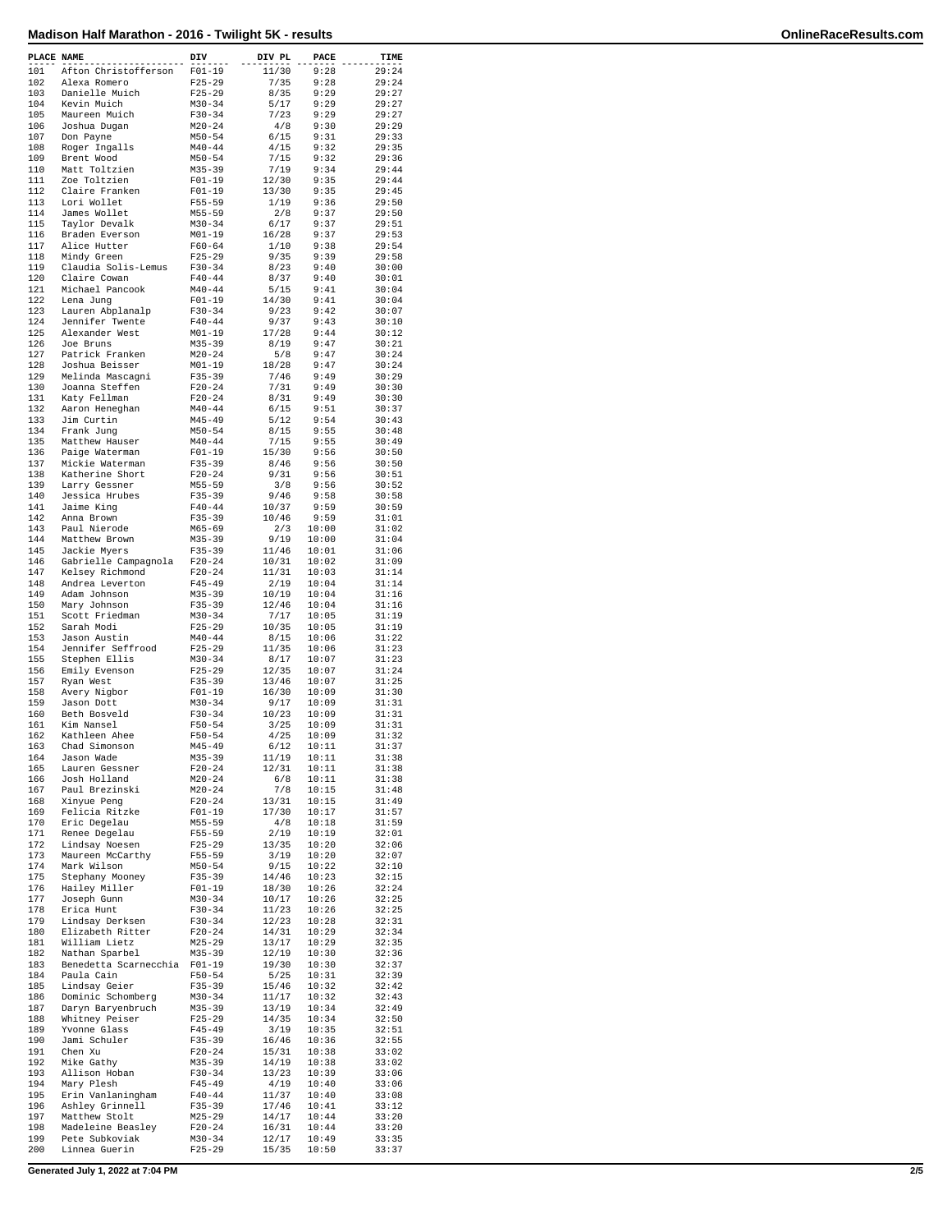| PLACE NAME |                                        | DIV                      | DIV PL         | PACE           | TIME           |
|------------|----------------------------------------|--------------------------|----------------|----------------|----------------|
| 101        | Afton Christofferson                   | $F01-19$                 | 11/30          | 9:28           | 29:24          |
| 102        | Alexa Romero                           | $F25 - 29$               | 7/35           | 9:28           | 29:24          |
| 103        | Danielle Muich                         | $F25-29$                 | 8/35           | 9:29           | 29:27          |
| 104<br>105 | Kevin Muich                            | $M30 - 34$<br>$F30-34$   | 5/17<br>7/23   | 9:29<br>9:29   | 29:27<br>29:27 |
| 106        | Maureen Muich<br>Joshua Dugan          | $M20-24$                 | 4/8            | 9:30           | 29:29          |
| 107        | Don Payne                              | M50-54                   | 6/15           | 9:31           | 29:33          |
| 108        | Roger Ingalls                          | $M40 - 44$               | 4/15           | 9:32           | 29:35          |
| 109        | Brent Wood                             | $M50 - 54$               | 7/15           | 9:32           | 29:36          |
| 110        | Matt Toltzien                          | $M35 - 39$               | 7/19           | 9:34           | 29:44          |
| 111<br>112 | Zoe Toltzien<br>Claire Franken         | $F01 - 19$<br>$F01-19$   | 12/30<br>13/30 | 9:35<br>9:35   | 29:44<br>29:45 |
| 113        | Lori Wollet                            | $F55 - 59$               | 1/19           | 9:36           | 29:50          |
| 114        | James Wollet                           | $M55 - 59$               | 2/8            | 9:37           | 29:50          |
| 115        | Taylor Devalk                          | $M30 - 34$               | 6/17           | 9:37           | 29:51          |
| 116        | Braden Everson                         | $M01 - 19$               | 16/28          | 9:37           | 29:53          |
| 117<br>118 | Alice Hutter<br>Mindy Green            | $F60 - 64$<br>$F25-29$   | 1/10<br>9/35   | 9:38<br>9:39   | 29:54<br>29:58 |
| 119        | Claudia Solis-Lemus                    | $F30-34$                 | 8/23           | 9:40           | 30:00          |
| 120        | Claire Cowan                           | $F40 - 44$               | 8/37           | 9:40           | 30:01          |
| 121        | Michael Pancook                        | $M40 - 44$               | 5/15           | 9:41           | 30:04          |
| 122        | Lena Jung                              | $F01-19$                 | 14/30          | 9:41           | 30:04          |
| 123<br>124 | Lauren Abplanalp<br>Jennifer Twente    | $F30-34$<br>$F40 - 44$   | 9/23<br>9/37   | 9:42<br>9:43   | 30:07<br>30:10 |
| 125        | Alexander West                         | $M01 - 19$               | 17/28          | 9:44           | 30:12          |
| 126        | Joe Bruns                              | $M35 - 39$               | 8/19           | 9:47           | 30:21          |
| 127        | Patrick Franken                        | $M20 - 24$               | 5/8            | 9:47           | 30:24          |
| 128        | Joshua Beisser                         | $M01 - 19$               | 18/28          | 9:47           | 30:24          |
| 129<br>130 | Melinda Mascagni<br>Joanna Steffen     | $F35 - 39$<br>$F20-24$   | 7/46<br>7/31   | 9:49<br>9:49   | 30:29<br>30:30 |
| 131        | Katy Fellman                           | $F20 - 24$               | 8/31           | 9:49           | 30:30          |
| 132        | Aaron Heneghan                         | $M40 - 44$               | 6/15           | 9:51           | 30:37          |
| 133        | Jim Curtin                             | M45-49                   | 5/12           | 9:54           | 30:43          |
| 134        | Frank Jung                             | $M50 - 54$               | 8/15           | 9:55           | 30:48          |
| 135<br>136 | Matthew Hauser<br>Paige Waterman       | $M40 - 44$<br>$F01-19$   | 7/15<br>15/30  | 9:55<br>9:56   | 30:49<br>30:50 |
| 137        | Mickie Waterman                        | $F35 - 39$               | 8/46           | 9:56           | 30:50          |
| 138        | Katherine Short                        | $F20-24$                 | 9/31           | 9:56           | 30:51          |
| 139        | Larry Gessner                          | $M55 - 59$               | 3/8            | 9:56           | 30:52          |
| 140        | Jessica Hrubes                         | $F35 - 39$               | 9/46           | 9:58           | 30:58          |
| 141<br>142 | Jaime King                             | $F40 - 44$               | 10/37<br>10/46 | 9:59<br>9:59   | 30:59          |
| 143        | Anna Brown<br>Paul Nierode             | $F35 - 39$<br>$M65 - 69$ | 2/3            | 10:00          | 31:01<br>31:02 |
| 144        | Matthew Brown                          | $M35 - 39$               | 9/19           | 10:00          | 31:04          |
| 145        | Jackie Myers                           | $F35 - 39$               | 11/46          | 10:01          | 31:06          |
| 146        | Gabrielle Campagnola                   | $F20-24$                 | 10/31          | 10:02          | 31:09          |
| 147<br>148 | Kelsey Richmond<br>Andrea Leverton     | $F20 - 24$<br>F45-49     | 11/31<br>2/19  | 10:03<br>10:04 | 31:14<br>31:14 |
| 149        | Adam Johnson                           | $M35 - 39$               | 10/19          | 10:04          | 31:16          |
| 150        | Mary Johnson                           | $F35 - 39$               | 12/46          | 10:04          | 31:16          |
| 151        | Scott Friedman                         | $M30 - 34$               | 7/17           | 10:05          | 31:19          |
| 152        | Sarah Modi                             | $F25 - 29$               | 10/35          | 10:05          | 31:19          |
| 153<br>154 | Jason Austin<br>Jennifer Seffrood      | $M40 - 44$<br>$F25-29$   | 8/15<br>11/35  | 10:06<br>10:06 | 31:22<br>31:23 |
| 155        | Stephen Ellis                          | $M30 - 34$               | 8/17           | 10:07          | 31:23          |
| 156        | Emily Evenson                          | $F25 - 29$               | 12/35          | 10:07          | 31:24          |
| 157        | Ryan West                              | $F35 - 39$               | 13/46          | 10:07          | 31:25          |
| 158<br>159 | Avery Nigbor<br>Jason Dott             | $F01-19$<br>$M30 - 34$   | 16/30<br>9/17  | 10:09<br>10:09 | 31:30<br>31:31 |
| 160        | Beth Bosveld                           | $F30-34$                 | 10/23          | 10:09          | 31:31          |
| 161        | Kim Nansel                             | $F50 - 54$               | 3/25           | 10:09          | 31:31          |
| 162        | Kathleen Ahee                          | $F50 - 54$               | 4/25           | 10:09          | 31:32          |
| 163        | Chad Simonson                          | $M45 - 49$               | 6/12           | 10:11          | 31:37          |
| 164<br>165 | Jason Wade<br>Lauren Gessner           | $M35 - 39$<br>$F20 - 24$ | 11/19<br>12/31 | 10:11<br>10:11 | 31:38<br>31:38 |
| 166        | Josh Holland                           | $M20 - 24$               | 6/8            | 10:11          | 31:38          |
| 167        | Paul Brezinski                         | $M20 - 24$               | 7/8            | 10:15          | 31:48          |
| 168        | Xinyue Peng                            | $F20 - 24$               | 13/31          | 10:15          | 31:49          |
| 169<br>170 | Felicia Ritzke<br>Eric Degelau         | $F01-19$<br>$M55 - 59$   | 17/30<br>4/8   | 10:17          | 31:57<br>31:59 |
| 171        | Renee Degelau                          | $F55 - 59$               | 2/19           | 10:18<br>10:19 | 32:01          |
| 172        | Lindsay Noesen                         | $F25-29$                 | 13/35          | 10:20          | 32:06          |
| 173        | Maureen McCarthy                       | F55-59                   | 3/19           | 10:20          | 32:07          |
| 174        | Mark Wilson                            | $M50 - 54$               | 9/15           | 10:22          | 32:10          |
| 175<br>176 | Stephany Mooney<br>Hailey Miller       | $F35 - 39$<br>$F01 - 19$ | 14/46<br>18/30 | 10:23<br>10:26 | 32:15<br>32:24 |
| 177        | Joseph Gunn                            | $M30 - 34$               | 10/17          | 10:26          | 32:25          |
| 178        | Erica Hunt                             | $F30-34$                 | 11/23          | 10:26          | 32:25          |
| 179        | Lindsay Derksen                        | $F30 - 34$               | 12/23          | 10:28          | 32:31          |
| 180<br>181 | Elizabeth Ritter<br>William Lietz      | $F20 - 24$<br>$M25 - 29$ | 14/31<br>13/17 | 10:29<br>10:29 | 32:34<br>32:35 |
| 182        | Nathan Sparbel                         | $M35 - 39$               | 12/19          | 10:30          | 32:36          |
| 183        | Benedetta Scarnecchia                  | $F01 - 19$               | 19/30          | 10:30          | 32:37          |
| 184        | Paula Cain                             | $F50 - 54$               | 5/25           | 10:31          | 32:39          |
| 185        | Lindsay Geier                          | $F35 - 39$               | 15/46          | 10:32          | 32:42          |
| 186<br>187 | Dominic Schomberg<br>Daryn Baryenbruch | $M30 - 34$<br>M35-39     | 11/17<br>13/19 | 10:32<br>10:34 | 32:43<br>32:49 |
| 188        | Whitney Peiser                         | $F25 - 29$               | 14/35          | 10:34          | 32:50          |
| 189        | Yvonne Glass                           | $F45 - 49$               | 3/19           | 10:35          | 32:51          |
| 190        | Jami Schuler                           | $F35 - 39$               | 16/46          | 10:36          | 32:55          |
| 191<br>192 | Chen Xu<br>Mike Gathy                  | $F20-24$<br>$M35 - 39$   | 15/31<br>14/19 | 10:38<br>10:38 | 33:02<br>33:02 |
| 193        | Allison Hoban                          | $F30-34$                 | 13/23          | 10:39          | 33:06          |
| 194        | Mary Plesh                             | $F45 - 49$               | 4/19           | 10:40          | 33:06          |
| 195        | Erin Vanlaningham                      | $F40 - 44$               | 11/37          | 10:40          | 33:08          |
| 196        | Ashley Grinnell                        | $F35 - 39$               | 17/46          | 10:41          | 33:12          |
| 197<br>198 | Matthew Stolt<br>Madeleine Beasley     | $M25 - 29$<br>$F20-24$   | 14/17<br>16/31 | 10:44<br>10:44 | 33:20<br>33:20 |
| 199        | Pete Subkoviak                         | $M30 - 34$               | 12/17          | 10:49          | 33:35          |
| 200        | Linnea Guerin                          | $F25 - 29$               | 15/35          | 10:50          | 33:37          |

**Generated July 1, 2022 at 7:04 PM 2/5**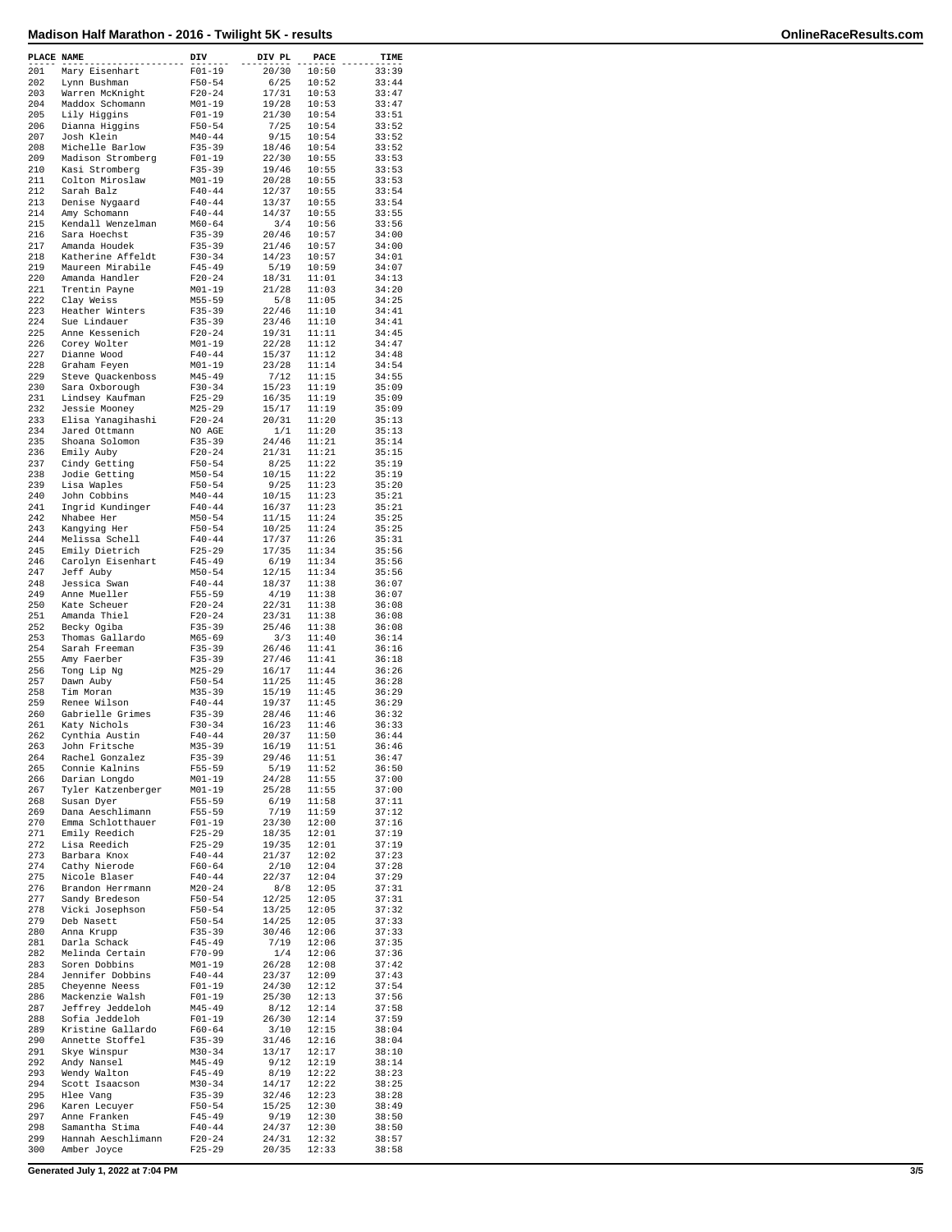| PLACE NAME |                                    | DIV                      | DIV PL         | PACE           | TIME           |
|------------|------------------------------------|--------------------------|----------------|----------------|----------------|
| 201        | Mary Eisenhart                     | $F01 - 19$               | 20/30          | 10:50          | 33:39          |
| 202        | Lynn Bushman                       | $F50 - 54$               | 6/25           | 10:52          | 33:44          |
| 203        | Warren McKnight                    | $F20 - 24$               | 17/31          | 10:53          | 33:47          |
| 204        | Maddox Schomann                    | $M01 - 19$               | 19/28          | 10:53          | 33:47          |
| 205        | Lily Higgins                       | $F01 - 19$               | 21/30          | 10:54          | 33:51          |
| 206        | Dianna Higgins                     | $F50 - 54$               | 7/25           | 10:54          | 33:52          |
| 207        | Josh Klein                         | $M40 - 44$               | 9/15           | 10:54          | 33:52          |
| 208        | Michelle Barlow                    | $F35 - 39$               | 18/46          | 10:54          | 33:52          |
| 209        | Madison Stromberg                  | $F01 - 19$               | 22/30          | 10:55          | 33:53          |
| 210<br>211 | Kasi Stromberg                     | $F35 - 39$               | 19/46          | 10:55          | 33:53          |
| 212        | Colton Miroslaw<br>Sarah Balz      | $M01 - 19$<br>$F40 - 44$ | 20/28<br>12/37 | 10:55<br>10:55 | 33:53<br>33:54 |
| 213        | Denise Nygaard                     | $F40 - 44$               | 13/37          | 10:55          | 33:54          |
| 214        | Amy Schomann                       | $F40 - 44$               | 14/37          | 10:55          | 33:55          |
| 215        | Kendall Wenzelman                  | $M60 - 64$               | 3/4            | 10:56          | 33:56          |
| 216        | Sara Hoechst                       | $F35 - 39$               | 20/46          | 10:57          | 34:00          |
| 217        | Amanda Houdek                      | $F35 - 39$               | 21/46          | 10:57          | 34:00          |
| 218        | Katherine Affeldt                  | $F30 - 34$               | 14/23          | 10:57          | 34:01          |
| 219        | Maureen Mirabile                   | $F45 - 49$               | 5/19           | 10:59          | 34:07          |
| 220        | Amanda Handler                     | $F20 - 24$               | 18/31          | 11:01          | 34:13          |
| 221        | Trentin Payne                      | $M01 - 19$               | 21/28          | 11:03          | 34:20          |
| 222        | Clay Weiss                         | $M55 - 59$               | 5/8            | 11:05          | 34:25          |
| 223        | Heather Winters                    | $F35 - 39$               | 22/46          | 11:10          | 34:41          |
| 224        | Sue Lindauer                       | $F35 - 39$               | 23/46          | 11:10          | 34:41          |
| 225        | Anne Kessenich                     | $F20-24$                 | 19/31          | 11:11          | 34:45          |
| 226<br>227 | Corey Wolter                       | $M01 - 19$<br>$F40 - 44$ | 22/28          | 11:12<br>11:12 | 34:47<br>34:48 |
| 228        | Dianne Wood<br>Graham Feyen        | $M01 - 19$               | 15/37<br>23/28 | 11:14          | 34:54          |
| 229        | Steve Quackenboss                  | $M45 - 49$               | 7/12           | 11:15          | 34:55          |
| 230        | Sara Oxborough                     | $F30 - 34$               | 15/23          | 11:19          | 35:09          |
| 231        | Lindsey Kaufman                    | $F25 - 29$               | 16/35          | 11:19          | 35:09          |
| 232        | Jessie Mooney                      | $M25 - 29$               | 15/17          | 11:19          | 35:09          |
| 233        | Elisa Yanaqihashi                  | $F20 - 24$               | 20/31          | 11:20          | 35:13          |
| 234        | Jared Ottmann                      | NO AGE                   | 1/1            | 11:20          | 35:13          |
| 235        | Shoana Solomon                     | $F35 - 39$               | 24/46          | 11:21          | 35:14          |
| 236        | Emily Auby                         | $F20 - 24$               | 21/31          | 11:21          | 35:15          |
| 237        | Cindy Getting                      | $F50 - 54$               | 8/25           | 11:22          | 35:19          |
| 238        | Jodie Getting                      | $M50 - 54$               | 10/15          | 11:22          | 35:19          |
| 239        | Lisa Waples                        | $F50 - 54$               | 9/25           | 11:23          | 35:20          |
| 240        | John Cobbins                       | $M40 - 44$               | 10/15          | 11:23          | 35:21          |
| 241        | Ingrid Kundinger                   | $F40 - 44$               | 16/37          | 11:23          | 35:21          |
| 242        | Nhabee Her                         | $M50 - 54$               | 11/15          | 11:24          | 35:25          |
| 243        | Kangying Her                       | $F50 - 54$               | 10/25          | 11:24          | 35:25          |
| 244<br>245 | Melissa Schell<br>Emily Dietrich   | $F40 - 44$<br>$F25 - 29$ | 17/37<br>17/35 | 11:26<br>11:34 | 35:31<br>35:56 |
| 246        | Carolyn Eisenhart                  | $F45 - 49$               | 6/19           | 11:34          | 35:56          |
| 247        | Jeff Auby                          | $M50 - 54$               | 12/15          | 11:34          | 35:56          |
| 248        | Jessica Swan                       | $F40 - 44$               | 18/37          | 11:38          | 36:07          |
| 249        | Anne Mueller                       | $F55 - 59$               | 4/19           | 11:38          | 36:07          |
| 250        | Kate Scheuer                       | $F20 - 24$               | 22/31          | 11:38          | 36:08          |
| 251        | Amanda Thiel                       | $F20 - 24$               | 23/31          | 11:38          | 36:08          |
| 252        | Becky Ogiba                        | $F35 - 39$               | 25/46          | 11:38          | 36:08          |
| 253        | Thomas Gallardo                    | $M65 - 69$               | 3/3            | 11:40          | 36:14          |
| 254        | Sarah Freeman                      | $F35 - 39$               | 26/46          | 11:41          | 36:16          |
| 255        | Amy Faerber                        | $F35 - 39$               | 27/46          | 11:41          | 36:18          |
| 256        | Tong Lip Ng                        | $M25 - 29$               | 16/17          | 11:44          | 36:26          |
| 257        | Dawn Auby                          | $F50 - 54$               | 11/25          | 11:45          | 36:28          |
| 258<br>259 | Tim Moran<br>Renee Wilson          | $M35 - 39$<br>$F40 - 44$ | 15/19<br>19/37 | 11:45<br>11:45 | 36:29<br>36:29 |
| 260        | Gabrielle Grimes                   | $F35 - 39$               | 28/46          | 11:46          | 36:32          |
| 261        | Katy Nichols                       | $F30-34$                 | 16/23          | 11:46          | 36:33          |
| 262        | Cynthia Austin                     | $F40 - 44$               | 20/37          | 11:50          | 36:44          |
| 263        | John Fritsche                      | $M35 - 39$               | 16/19          | 11:51          | 36:46          |
| 264        | Rachel Gonzalez                    | $F35 - 39$               | 29/46          | 11:51          | 36:47          |
| 265        | Connie Kalnins                     | $F55 - 59$               | 5/19           | 11:52          | 36:50          |
| 266        | Darian Longdo                      | $M01 - 19$               | 24/28          | 11:55          | 37:00          |
| 267        | Tyler Katzenberger                 | $M01 - 19$               | 25/28          | 11:55          | 37:00          |
| 268        | Susan Dyer                         | $F55 - 59$               | 6/19           | 11:58          | 37:11          |
| 269        | Dana Aeschlimann                   | F55-59                   | 7/19           | 11:59          | 37:12          |
| 270<br>271 | Emma Schlotthauer                  | $F01 - 19$               | 23/30          | 12:00          | 37:16          |
| 272        | Emily Reedich<br>Lisa Reedich      | $F25 - 29$<br>$F25 - 29$ | 18/35<br>19/35 | 12:01<br>12:01 | 37:19<br>37:19 |
| 273        | Barbara Knox                       | $F40 - 44$               | 21/37          | 12:02          | 37:23          |
| 274        | Cathy Nierode                      | $F60 - 64$               | 2/10           | 12:04          | 37:28          |
| 275        | Nicole Blaser                      | $F40 - 44$               | 22/37          | 12:04          | 37:29          |
| 276        | Brandon Herrmann                   | $M20 - 24$               | 8/8            | 12:05          | 37:31          |
| 277        | Sandy Bredeson                     | $F50 - 54$               | 12/25          | 12:05          | 37:31          |
| 278        | Vicki Josephson                    | $F50 - 54$               | 13/25          | 12:05          | 37:32          |
| 279        | Deb Nasett                         | $F50 - 54$               | 14/25          | 12:05          | 37:33          |
| 280        | Anna Krupp                         | $F35 - 39$               | 30/46          | 12:06          | 37:33          |
| 281        | Darla Schack                       | $F45 - 49$               | 7/19           | 12:06          | 37:35          |
| 282        | Melinda Certain                    | F70-99                   | 1/4            | 12:06          | 37:36          |
| 283<br>284 | Soren Dobbins                      | $M01 - 19$               | 26/28          | 12:08          | 37:42          |
| 285        | Jennifer Dobbins<br>Cheyenne Neess | $F40 - 44$<br>$F01-19$   | 23/37<br>24/30 | 12:09<br>12:12 | 37:43<br>37:54 |
| 286        | Mackenzie Walsh                    | $F01 - 19$               | 25/30          | 12:13          | 37:56          |
| 287        | Jeffrey Jeddeloh                   | $M45 - 49$               | 8/12           | 12:14          | 37:58          |
| 288        | Sofia Jeddeloh                     | $F01 - 19$               | 26/30          | 12:14          | 37:59          |
| 289        | Kristine Gallardo                  | $F60 - 64$               | 3/10           | 12:15          | 38:04          |
| 290        | Annette Stoffel                    | $F35 - 39$               | 31/46          | 12:16          | 38:04          |
| 291        | Skye Winspur                       | $M30 - 34$               | 13/17          | 12:17          | 38:10          |
| 292        | Andy Nansel                        | $M45 - 49$               | 9/12           | 12:19          | 38:14          |
| 293        | Wendy Walton                       | $F45 - 49$               | 8/19           | 12:22          | 38:23          |
| 294        | Scott Isaacson                     | $M30 - 34$               | 14/17          | 12:22          | 38:25          |
| 295        | Hlee Vang                          | $F35 - 39$               | 32/46          | 12:23          | 38:28          |
| 296        | Karen Lecuyer                      | $F50 - 54$               | 15/25          | 12:30          | 38:49          |
| 297<br>298 | Anne Franken<br>Samantha Stima     | $F45 - 49$<br>$F40 - 44$ | 9/19<br>24/37  | 12:30<br>12:30 | 38:50<br>38:50 |
| 299        | Hannah Aeschlimann                 | $F20-24$                 | 24/31          | 12:32          | 38:57          |
| 300        | Amber Joyce                        | $F25 - 29$               | 20/35          | 12:33          | 38:58          |
|            |                                    |                          |                |                |                |

**Generated July 1, 2022 at 7:04 PM 3/5**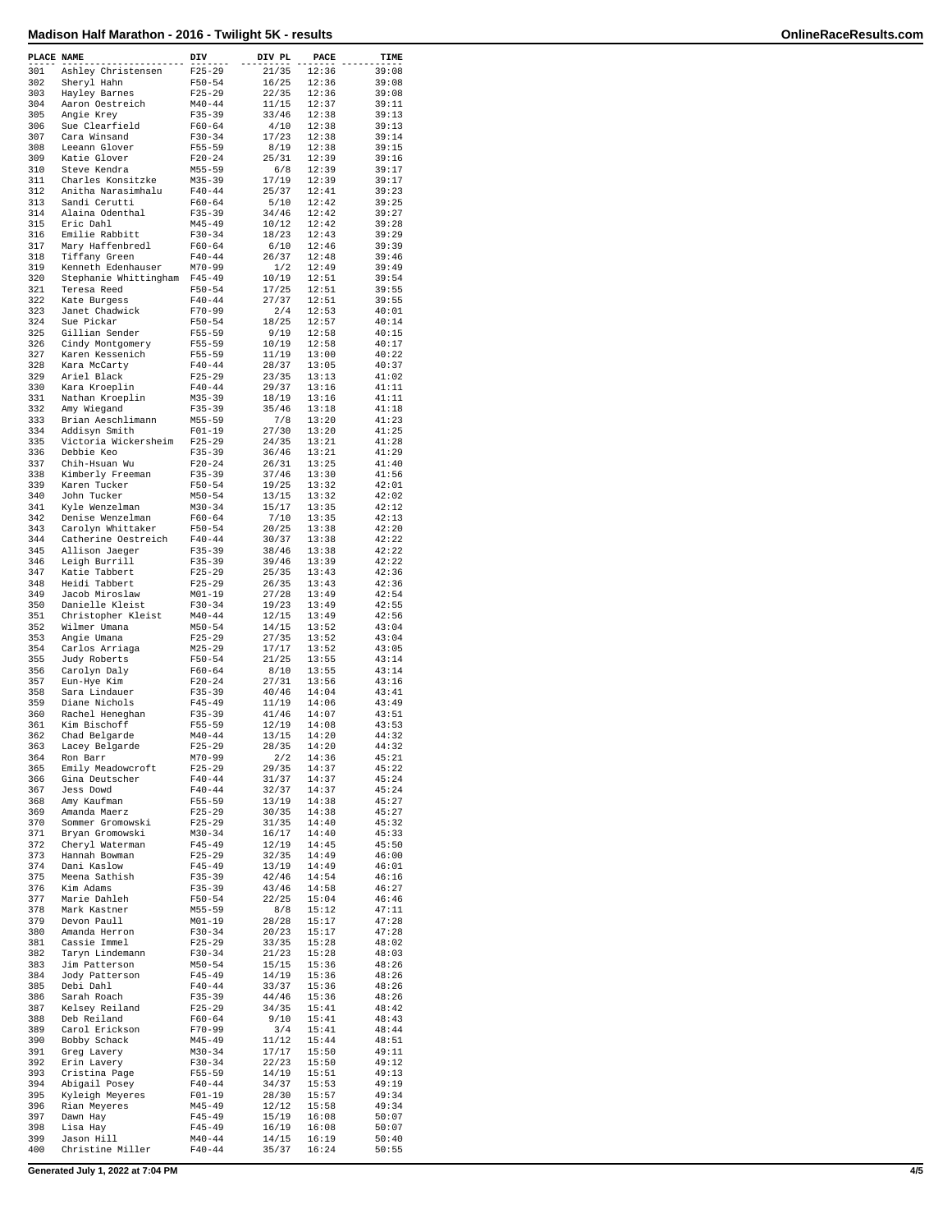| PLACE NAME |                                | DIV                      | DIV PL         | PACE           | TIME           |
|------------|--------------------------------|--------------------------|----------------|----------------|----------------|
| 301        | Ashley Christensen             | $F25 - 29$               | 21/35          | 12:36          | 39:08          |
| 302        | Sheryl Hahn                    | $F50 - 54$               | 16/25          | 12:36          | 39:08          |
| 303        | Hayley Barnes                  | $F25 - 29$               | 22/35          | 12:36          | 39:08          |
| 304        | Aaron Oestreich                | $M40 - 44$               | 11/15          | 12:37          | 39:11          |
| 305        | Angie Krey                     | $F35 - 39$               | 33/46          | 12:38          | 39:13          |
| 306        | Sue Clearfield                 | $F60 - 64$               | 4/10           | 12:38          | 39:13          |
| 307        | Cara Winsand                   | $F30-34$                 | 17/23          | 12:38          | 39:14          |
| 308        | Leeann Glover                  | $F55 - 59$               | 8/19           | 12:38          | 39:15          |
| 309        | Katie Glover                   | $F20 - 24$               | 25/31          | 12:39          | 39:16          |
| 310        | Steve Kendra                   | $M55 - 59$               | 6/8            | 12:39          | 39:17          |
| 311        | Charles Konsitzke              | $M35 - 39$               | 17/19          | 12:39          | 39:17          |
| 312        | Anitha Narasimhalu             | $F40 - 44$               | 25/37          | 12:41          | 39:23          |
| 313        | Sandi Cerutti                  | $F60 - 64$               | 5/10           | 12:42          | 39:25          |
| 314        | Alaina Odenthal                | $F35 - 39$               | 34/46          | 12:42          | 39:27          |
| 315        | Eric Dahl                      | $M45 - 49$               | 10/12          | 12:42          | 39:28          |
| 316        | Emilie Rabbitt                 | $F30-34$                 | 18/23          | 12:43          | 39:29          |
| 317        | Mary Haffenbredl               | $F60 - 64$               | 6/10           | 12:46          | 39:39          |
| 318        | Tiffany Green                  | $F40 - 44$               | 26/37          | 12:48          | 39:46          |
| 319        | Kenneth Edenhauser             | M70-99                   | 1/2            | 12:49          | 39:49          |
| 320        | Stephanie Whittingham          | $F45 - 49$               | 10/19          | 12:51          | 39:54          |
| 321        | Teresa Reed                    | $F50 - 54$               | 17/25          | 12:51          | 39:55          |
| 322        | Kate Burgess                   | $F40 - 44$               | 27/37          | 12:51          | 39:55          |
| 323        | Janet Chadwick                 | $F70 - 99$               | 2/4            | 12:53          | 40:01          |
| 324        | Sue Pickar                     | $F50 - 54$               | 18/25          | 12:57          | 40:14          |
| 325        | Gillian Sender                 | F55-59                   | 9/19           | 12:58          | 40:15          |
| 326        | Cindy Montgomery               | $F55 - 59$               | 10/19          | 12:58          | 40:17          |
| 327        | Karen Kessenich                | $F55 - 59$               | 11/19          | 13:00          | 40:22          |
| 328        | Kara McCarty                   | $F40 - 44$               | 28/37          | 13:05          | 40:37          |
| 329<br>330 | Ariel Black                    | $F25 - 29$               | 23/35          | 13:13          | 41:02          |
|            | Kara Kroeplin                  | $F40 - 44$               | 29/37          | 13:16          | 41:11          |
| 331        | Nathan Kroeplin                | $M35 - 39$               | 18/19          | 13:16          | 41:11          |
| 332        | Amy Wiegand                    | $F35 - 39$               | 35/46          | 13:18          | 41:18          |
| 333        | Brian Aeschlimann              | $M55 - 59$               | 7/8            | 13:20          | 41:23          |
| 334        | Addisyn Smith                  | $F01-19$                 | 27/30          | 13:20          | 41:25          |
| 335        | Victoria Wickersheim           | $F25-29$                 | 24/35          | 13:21          | 41:28          |
| 336        | Debbie Keo                     | $F35 - 39$               | 36/46          | 13:21          | 41:29          |
| 337        | Chih-Hsuan Wu                  | $F20 - 24$               | 26/31          | 13:25          | 41:40          |
| 338        | Kimberly Freeman               | $F35 - 39$               | 37/46          | 13:30          | 41:56          |
| 339        | Karen Tucker                   | $F50 - 54$               | 19/25          | 13:32          | 42:01<br>42:02 |
| 340        | John Tucker                    | $M50 - 54$               | 13/15          | 13:32          |                |
| 341        | Kyle Wenzelman                 | $M30 - 34$               | 15/17<br>7/10  | 13:35          | 42:12          |
| 342<br>343 | Denise Wenzelman               | $F60 - 64$               |                | 13:35          | 42:13          |
| 344        | Carolyn Whittaker              | $F50 - 54$<br>$F40 - 44$ | 20/25          | 13:38          | 42:20<br>42:22 |
| 345        | Catherine Oestreich            | $F35 - 39$               | 30/37<br>38/46 | 13:38          | 42:22          |
| 346        | Allison Jaeger                 | $F35 - 39$               |                | 13:38          | 42:22          |
| 347        | Leigh Burrill<br>Katie Tabbert |                          | 39/46<br>25/35 | 13:39<br>13:43 | 42:36          |
| 348        | Heidi Tabbert                  | $F25 - 29$<br>$F25-29$   | 26/35          | 13:43          | 42:36          |
| 349        | Jacob Miroslaw                 | $M01 - 19$               | 27/28          | 13:49          | 42:54          |
| 350        | Danielle Kleist                | $F30 - 34$               | 19/23          | 13:49          | 42:55          |
| 351        | Christopher Kleist             | $M40 - 44$               | 12/15          | 13:49          | 42:56          |
| 352        | Wilmer Umana                   | $M50 - 54$               | 14/15          | 13:52          | 43:04          |
| 353        | Angie Umana                    | $F25 - 29$               | 27/35          | 13:52          | 43:04          |
| 354        | Carlos Arriaga                 | $M25 - 29$               | 17/17          | 13:52          | 43:05          |
| 355        | Judy Roberts                   | $F50 - 54$               | 21/25          | 13:55          | 43:14          |
| 356        | Carolyn Daly                   | $F60 - 64$               | 8/10           | 13:55          | 43:14          |
| 357        | Eun-Hye Kim                    | $F20 - 24$               | 27/31          | 13:56          | 43:16          |
| 358        | Sara Lindauer                  | $F35 - 39$               | 40/46          | 14:04          | 43:41          |
| 359        | Diane Nichols                  | $F45 - 49$               | 11/19          | 14:06          | 43:49          |
| 360        | Rachel Heneghan                | $F35 - 39$               | 41/46          | 14:07          | 43:51          |
| 361        | Kim Bischoff                   | F55-59                   | 12/19          | 14:08          | 43:53          |
| 362        | Chad Belgarde                  | $M40 - 44$               | 13/15          | 14:20          | 44:32          |
| 363        | Lacey Belgarde                 | $F25 - 29$               | 28/35          | 14:20          | 44:32          |
| 364        | Ron Barr                       | M70-99                   | 2/2            | 14:36          | 45:21          |
| 365        | Emily Meadowcroft              | $F25 - 29$               | 29/35          | 14:37          | 45:22          |
| 366        | Gina Deutscher                 | $F40 - 44$               | 31/37          | 14:37          | 45:24          |
| 367        | Jess Dowd                      | $F40 - 44$               | 32/37          | 14:37          | 45:24          |
| 368        | Amy Kaufman                    | $F55 - 59$               | 13/19          | 14:38          | 45:27          |
| 369        | Amanda Maerz                   | $F25 - 29$               | 30/35          | 14:38          | 45:27          |
| 370        | Sommer Gromowski               | $F25 - 29$               | 31/35          | 14:40          | 45:32          |
| 371        | Bryan Gromowski                | $M30 - 34$               | 16/17          | 14:40          | 45:33          |
| 372        | Cheryl Waterman                | $F45 - 49$               | 12/19          | 14:45          | 45:50          |
| 373        | Hannah Bowman                  | $F25 - 29$               | 32/35          | 14:49          | 46:00          |
| 374        | Dani Kaslow                    | $F45 - 49$               | 13/19          | 14:49          | 46:01          |
| 375        | Meena Sathish                  | $F35 - 39$               | 42/46          | 14:54          | 46:16          |
| 376        | Kim Adams                      | $F35 - 39$               | 43/46          | 14:58          | 46:27          |
| 377        | Marie Dahleh                   | $F50 - 54$               | 22/25          | 15:04          | 46:46          |
| 378        | Mark Kastner                   | $M55 - 59$               | 8/8            | 15:12          | 47:11          |
| 379        | Devon Paull                    | $M01 - 19$               | 28/28          | 15:17          | 47:28          |
| 380        | Amanda Herron                  | $F30-34$                 | 20/23          | 15:17          | 47:28          |
| 381        | Cassie Immel                   | $F25 - 29$               | 33/35          | 15:28          | 48:02          |
| 382        | Taryn Lindemann                | $F30-34$                 | 21/23          | 15:28          | 48:03          |
| 383        | Jim Patterson                  | $M50 - 54$               | 15/15          | 15:36          | 48:26          |
| 384        | Jody Patterson                 | $F45 - 49$               | 14/19          | 15:36          | 48:26          |
| 385        | Debi Dahl                      | $F40 - 44$               | 33/37          | 15:36          | 48:26          |
| 386        | Sarah Roach                    | $F35 - 39$               | 44/46          | 15:36          | 48:26          |
| 387        | Kelsey Reiland                 | $F25 - 29$               | 34/35          | 15:41          | 48:42          |
| 388        | Deb Reiland                    | $F60 - 64$               | 9/10           | 15:41          | 48:43          |
| 389        | Carol Erickson                 | $F70 - 99$               | 3/4            | 15:41          | 48:44          |
| 390        | Bobby Schack                   | $M45 - 49$               | 11/12          | 15:44          | 48:51          |
| 391        | Greg Lavery                    | $M30 - 34$               | 17/17          | 15:50          | 49:11          |
| 392        | Erin Lavery                    | $F30-34$                 | 22/23          | 15:50          | 49:12          |
| 393        | Cristina Page                  | $F55 - 59$               | 14/19          | 15:51          | 49:13          |
| 394        | Abigail Posey                  | $F40 - 44$               | 34/37          | 15:53          | 49:19          |
| 395        | Kyleigh Meyeres                | $F01 - 19$               | 28/30          | 15:57          | 49:34          |
| 396        | Rian Meyeres                   | $M45 - 49$               | 12/12          | 15:58          | 49:34          |
| 397        | Dawn Hay                       | $F45 - 49$               | 15/19          | 16:08          | 50:07          |
| 398        | Lisa Hay                       | $F45 - 49$               | 16/19          | 16:08          | 50:07          |
| 399        | Jason Hill                     | $M40 - 44$               | 14/15          | 16:19          | 50:40          |
| 400        | Christine Miller               | $F40 - 44$               | 35/37          | 16:24          | 50:55          |